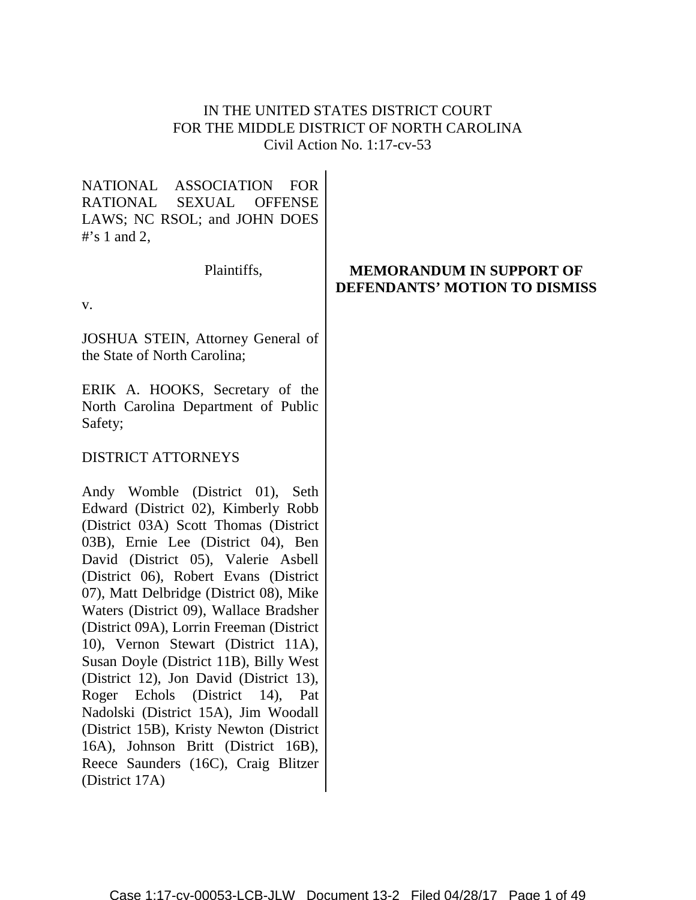# IN THE UNITED STATES DISTRICT COURT FOR THE MIDDLE DISTRICT OF NORTH CAROLINA Civil Action No. 1:17-cv-53

NATIONAL ASSOCIATION FOR RATIONAL SEXUAL OFFENSE LAWS; NC RSOL; and JOHN DOES  $#$ 's 1 and 2.

Plaintiffs,

v.

JOSHUA STEIN, Attorney General of the State of North Carolina;

ERIK A. HOOKS, Secretary of the North Carolina Department of Public Safety;

# DISTRICT ATTORNEYS

Andy Womble (District 01), Seth Edward (District 02), Kimberly Robb (District 03A) Scott Thomas (District 03B), Ernie Lee (District 04), Ben David (District 05), Valerie Asbell (District 06), Robert Evans (District 07), Matt Delbridge (District 08), Mike Waters (District 09), Wallace Bradsher (District 09A), Lorrin Freeman (District 10), Vernon Stewart (District 11A), Susan Doyle (District 11B), Billy West (District 12), Jon David (District 13), Roger Echols (District 14), Pat Nadolski (District 15A), Jim Woodall (District 15B), Kristy Newton (District 16A), Johnson Britt (District 16B), Reece Saunders (16C), Craig Blitzer (District 17A)

# **MEMORANDUM IN SUPPORT OF DEFENDANTS' MOTION TO DISMISS**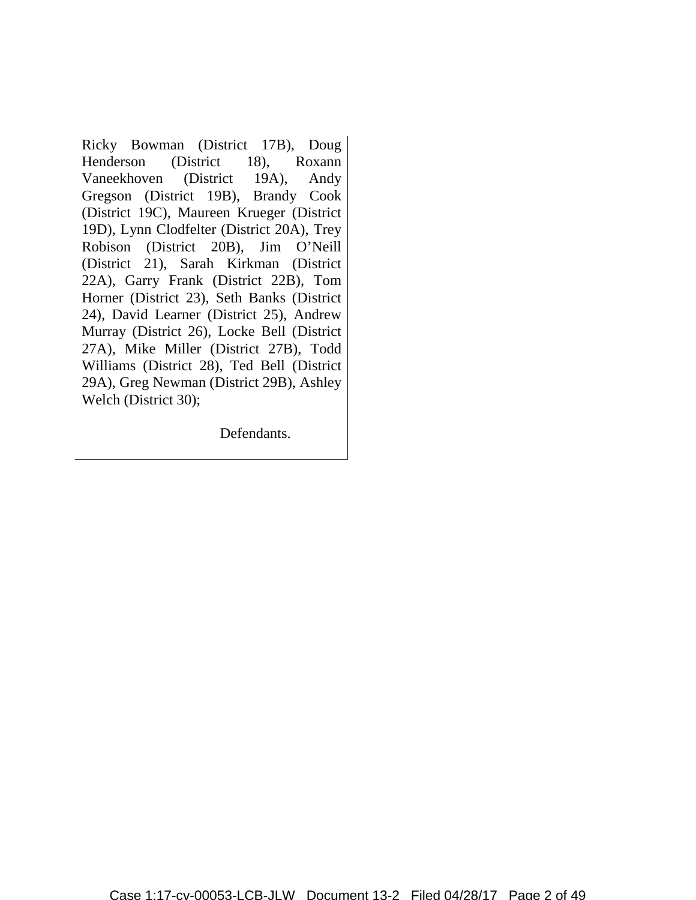Ricky Bowman (District 17B), Doug Henderson (District 18), Roxann Vaneekhoven (District 19A), Andy Gregson (District 19B), Brandy Cook (District 19C), Maureen Krueger (District 19D), Lynn Clodfelter (District 20A), Trey Robison (District 20B), Jim O'Neill (District 21), Sarah Kirkman (District 22A), Garry Frank (District 22B), Tom Horner (District 23), Seth Banks (District 24), David Learner (District 25), Andrew Murray (District 26), Locke Bell (District 27A), Mike Miller (District 27B), Todd Williams (District 28), Ted Bell (District 29A), Greg Newman (District 29B), Ashley Welch (District 30);

Defendants.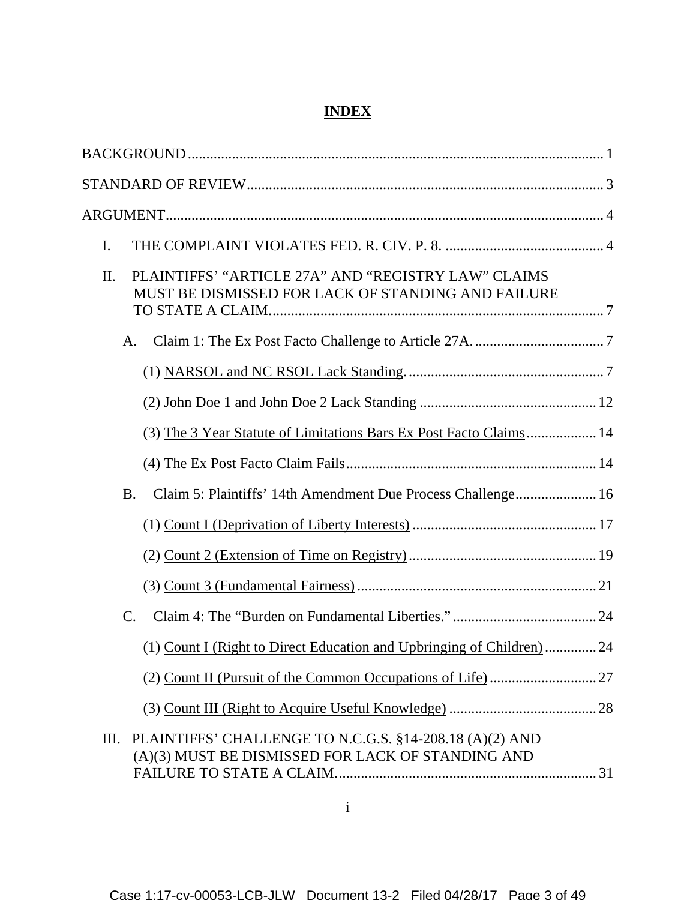# **INDEX**

i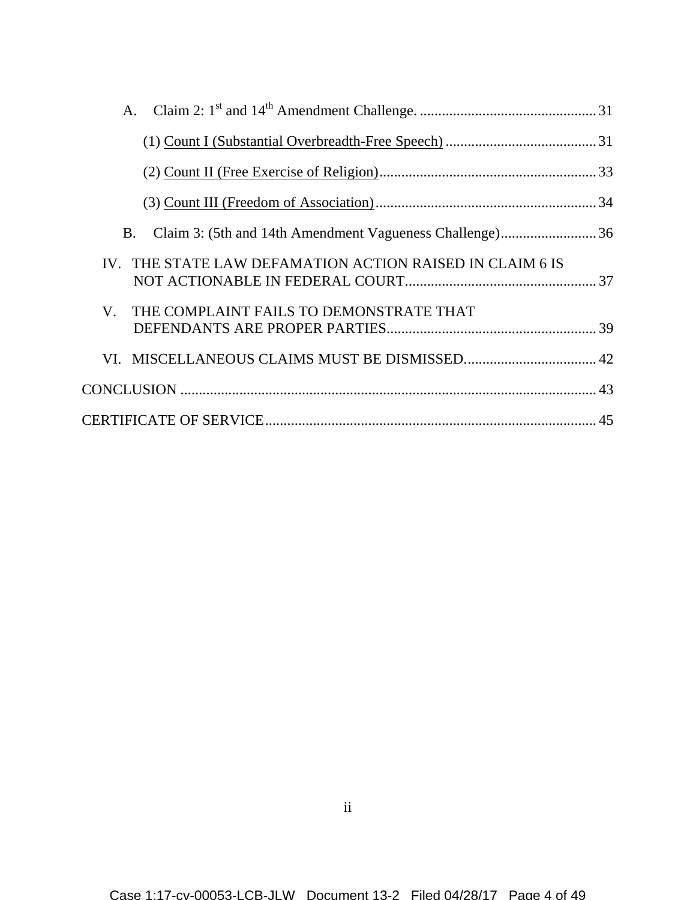| Claim 3: (5th and 14th Amendment Vagueness Challenge)36<br>Β. |  |
|---------------------------------------------------------------|--|
| IV. THE STATE LAW DEFAMATION ACTION RAISED IN CLAIM 6 IS      |  |
| V. THE COMPLAINT FAILS TO DEMONSTRATE THAT                    |  |
|                                                               |  |
|                                                               |  |
|                                                               |  |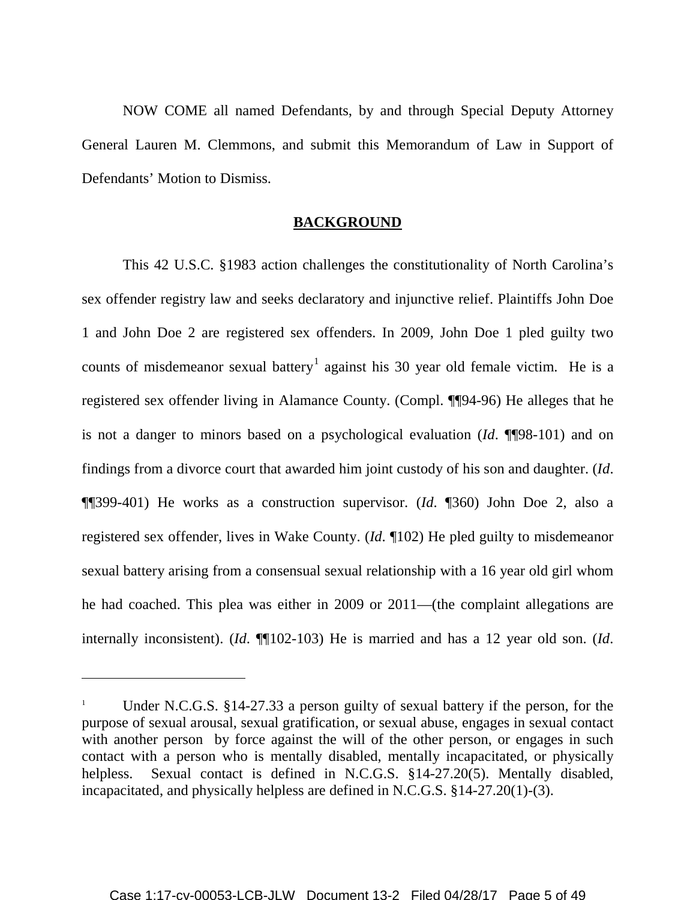NOW COME all named Defendants, by and through Special Deputy Attorney General Lauren M. Clemmons, and submit this Memorandum of Law in Support of Defendants' Motion to Dismiss.

#### **BACKGROUND**

This 42 U.S.C. §1983 action challenges the constitutionality of North Carolina's sex offender registry law and seeks declaratory and injunctive relief. Plaintiffs John Doe 1 and John Doe 2 are registered sex offenders. In 2009, John Doe 1 pled guilty two counts of misdemeanor sexual battery<sup>[1](#page-4-0)</sup> against his 30 year old female victim. He is a registered sex offender living in Alamance County. (Compl. ¶¶94-96) He alleges that he is not a danger to minors based on a psychological evaluation (*Id*. ¶¶98-101) and on findings from a divorce court that awarded him joint custody of his son and daughter. (*Id*. ¶¶399-401) He works as a construction supervisor. (*Id*. ¶360) John Doe 2, also a registered sex offender, lives in Wake County. (*Id*. ¶102) He pled guilty to misdemeanor sexual battery arising from a consensual sexual relationship with a 16 year old girl whom he had coached. This plea was either in 2009 or 2011—(the complaint allegations are internally inconsistent). (*Id*. ¶¶102-103) He is married and has a 12 year old son. (*Id*.

 $\overline{a}$ 

<span id="page-4-0"></span>Under N.C.G.S. §14-27.33 a person guilty of sexual battery if the person, for the purpose of sexual arousal, sexual gratification, or sexual abuse, engages in sexual contact with another person by force against the will of the other person, or engages in such contact with a person who is mentally disabled, mentally incapacitated, or physically helpless. Sexual contact is defined in N.C.G.S. §14-27.20(5). Mentally disabled, incapacitated, and physically helpless are defined in N.C.G.S. §14-27.20(1)-(3).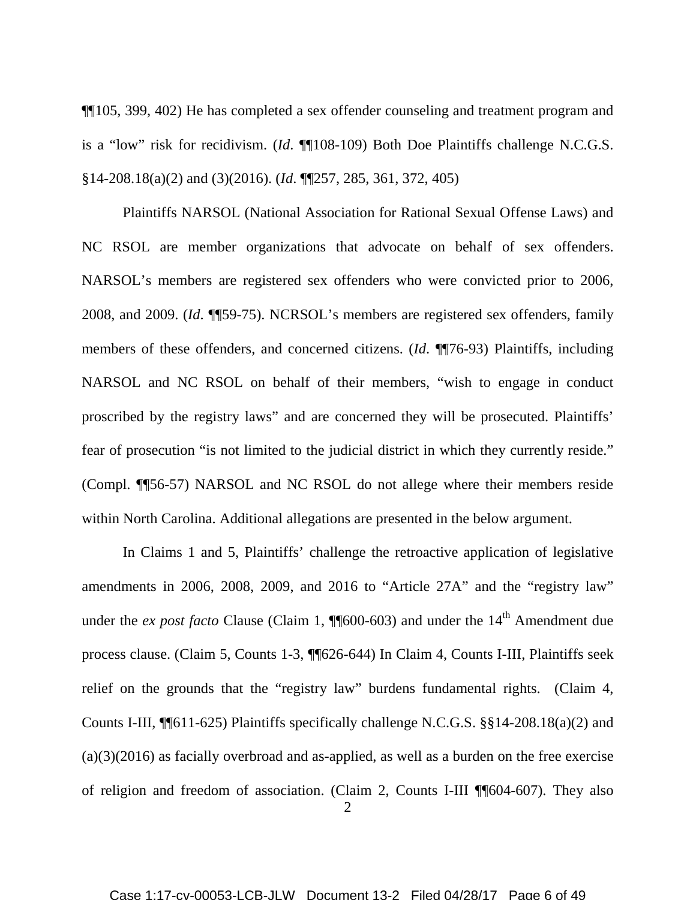¶¶105, 399, 402) He has completed a sex offender counseling and treatment program and is a "low" risk for recidivism. (*Id*. ¶¶108-109) Both Doe Plaintiffs challenge N.C.G.S. §14-208.18(a)(2) and (3)(2016). (*Id*. ¶¶257, 285, 361, 372, 405)

Plaintiffs NARSOL (National Association for Rational Sexual Offense Laws) and NC RSOL are member organizations that advocate on behalf of sex offenders. NARSOL's members are registered sex offenders who were convicted prior to 2006, 2008, and 2009. (*Id*. ¶¶59-75). NCRSOL's members are registered sex offenders, family members of these offenders, and concerned citizens. (*Id*. ¶¶76-93) Plaintiffs, including NARSOL and NC RSOL on behalf of their members, "wish to engage in conduct proscribed by the registry laws" and are concerned they will be prosecuted. Plaintiffs' fear of prosecution "is not limited to the judicial district in which they currently reside." (Compl. ¶¶56-57) NARSOL and NC RSOL do not allege where their members reside within North Carolina. Additional allegations are presented in the below argument.

In Claims 1 and 5, Plaintiffs' challenge the retroactive application of legislative amendments in 2006, 2008, 2009, and 2016 to "Article 27A" and the "registry law" under the *ex post facto* Clause (Claim 1,  $\P$  $[600-603)$  and under the 14<sup>th</sup> Amendment due process clause. (Claim 5, Counts 1-3, ¶¶626-644) In Claim 4, Counts I-III, Plaintiffs seek relief on the grounds that the "registry law" burdens fundamental rights. (Claim 4, Counts I-III, ¶¶611-625) Plaintiffs specifically challenge N.C.G.S. §§14-208.18(a)(2) and (a)(3)(2016) as facially overbroad and as-applied, as well as a burden on the free exercise of religion and freedom of association. (Claim 2, Counts I-III ¶¶604-607). They also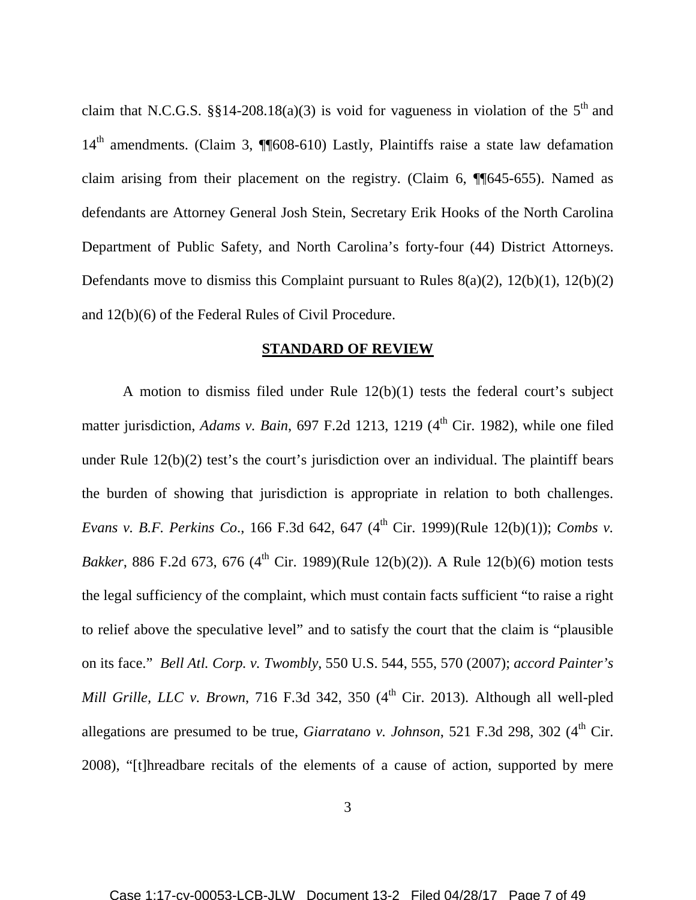claim that N.C.G.S. §§14-208.18(a)(3) is void for vagueness in violation of the  $5<sup>th</sup>$  and 14<sup>th</sup> amendments. (Claim 3, ¶¶608-610) Lastly, Plaintiffs raise a state law defamation claim arising from their placement on the registry. (Claim 6, ¶¶645-655). Named as defendants are Attorney General Josh Stein, Secretary Erik Hooks of the North Carolina Department of Public Safety, and North Carolina's forty-four (44) District Attorneys. Defendants move to dismiss this Complaint pursuant to Rules 8(a)(2), 12(b)(1), 12(b)(2) and 12(b)(6) of the Federal Rules of Civil Procedure.

#### **STANDARD OF REVIEW**

A motion to dismiss filed under Rule 12(b)(1) tests the federal court's subject matter jurisdiction, *Adams v. Bain*, 697 F.2d 1213, 1219 (4<sup>th</sup> Cir. 1982), while one filed under Rule 12(b)(2) test's the court's jurisdiction over an individual. The plaintiff bears the burden of showing that jurisdiction is appropriate in relation to both challenges. *Evans v. B.F. Perkins Co.*, 166 F.3d 642, 647 (4<sup>th</sup> Cir. 1999)(Rule 12(b)(1)); *Combs v. Bakker*, 886 F.2d 673, 676 (4<sup>th</sup> Cir. 1989)(Rule 12(b)(2)). A Rule 12(b)(6) motion tests the legal sufficiency of the complaint, which must contain facts sufficient "to raise a right to relief above the speculative level" and to satisfy the court that the claim is "plausible on its face." *Bell Atl. Corp. v. Twombly*, 550 U.S. 544, 555, 570 (2007); *accord Painter's Mill Grille, LLC v. Brown, 716 F.3d 342, 350*  $(4<sup>th</sup> Cir. 2013)$ *. Although all well-pled* allegations are presumed to be true, *Giarratano v. Johnson*, 521 F.3d 298, 302 (4<sup>th</sup> Cir. 2008), "[t]hreadbare recitals of the elements of a cause of action, supported by mere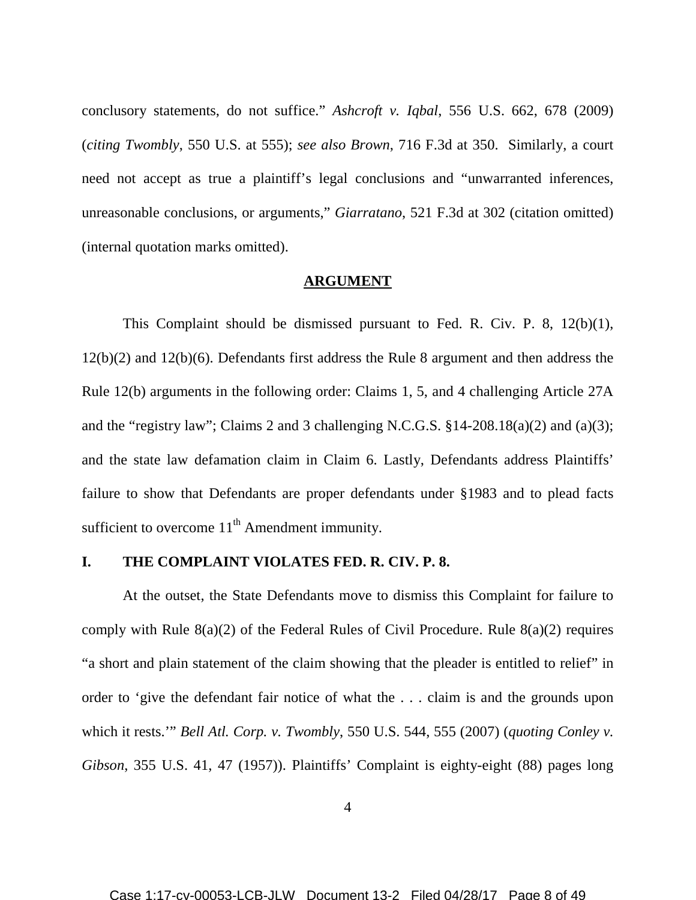conclusory statements, do not suffice." *Ashcroft v. Iqbal*, 556 U.S. 662, 678 (2009) (*citing Twombly*, 550 U.S. at 555); *see also Brown*, 716 F.3d at 350. Similarly, a court need not accept as true a plaintiff's legal conclusions and "unwarranted inferences, unreasonable conclusions, or arguments," *Giarratano*, 521 F.3d at 302 (citation omitted) (internal quotation marks omitted).

#### **ARGUMENT**

This Complaint should be dismissed pursuant to Fed. R. Civ. P. 8, 12(b)(1), 12(b)(2) and 12(b)(6). Defendants first address the Rule 8 argument and then address the Rule 12(b) arguments in the following order: Claims 1, 5, and 4 challenging Article 27A and the "registry law"; Claims 2 and 3 challenging N.C.G.S.  $$14-208.18(a)(2)$  and  $(a)(3)$ ; and the state law defamation claim in Claim 6. Lastly, Defendants address Plaintiffs' failure to show that Defendants are proper defendants under §1983 and to plead facts sufficient to overcome  $11<sup>th</sup>$  Amendment immunity.

#### **I. THE COMPLAINT VIOLATES FED. R. CIV. P. 8.**

At the outset, the State Defendants move to dismiss this Complaint for failure to comply with Rule  $8(a)(2)$  of the Federal Rules of Civil Procedure. Rule  $8(a)(2)$  requires "a short and plain statement of the claim showing that the pleader is entitled to relief" in order to 'give the defendant fair notice of what the . . . claim is and the grounds upon which it rests.'" *Bell Atl. Corp. v. Twombly*, 550 U.S. 544, 555 (2007) (*quoting Conley v. Gibson*, 355 U.S. 41, 47 (1957)). Plaintiffs' Complaint is eighty-eight (88) pages long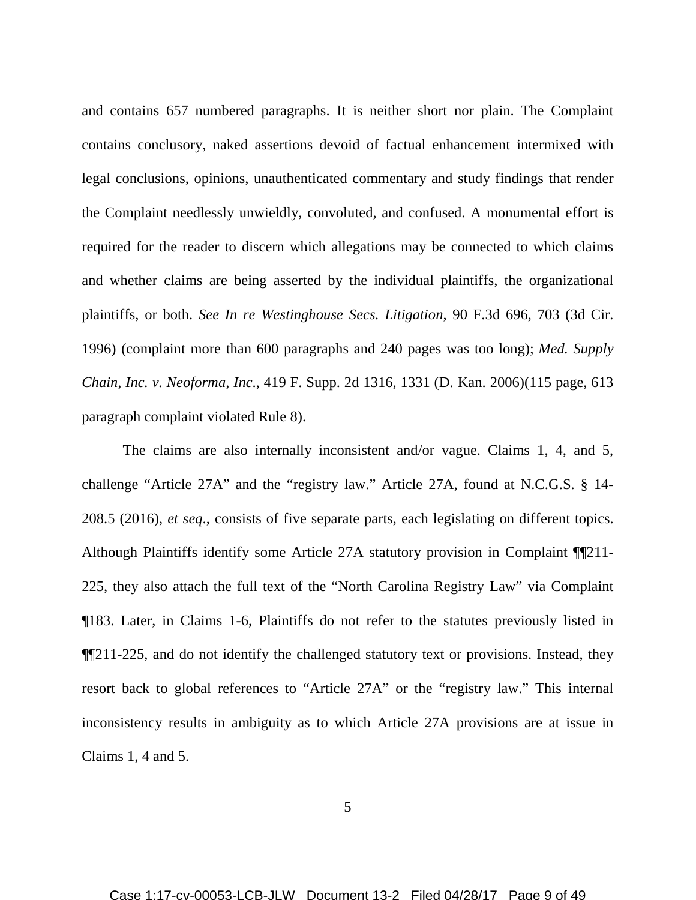and contains 657 numbered paragraphs. It is neither short nor plain. The Complaint contains conclusory, naked assertions devoid of factual enhancement intermixed with legal conclusions, opinions, unauthenticated commentary and study findings that render the Complaint needlessly unwieldly, convoluted, and confused. A monumental effort is required for the reader to discern which allegations may be connected to which claims and whether claims are being asserted by the individual plaintiffs, the organizational plaintiffs, or both. *See In re Westinghouse Secs. Litigation*, 90 F.3d 696, 703 (3d Cir. 1996) (complaint more than 600 paragraphs and 240 pages was too long); *Med. Supply Chain, Inc. v. Neoforma, Inc*., 419 F. Supp. 2d 1316, 1331 (D. Kan. 2006)(115 page, 613 paragraph complaint violated Rule 8).

The claims are also internally inconsistent and/or vague. Claims 1, 4, and 5, challenge "Article 27A" and the "registry law." Article 27A, found at N.C.G.S. § 14- 208.5 (2016), *et seq*., consists of five separate parts, each legislating on different topics. Although Plaintiffs identify some Article 27A statutory provision in Complaint ¶¶211- 225, they also attach the full text of the "North Carolina Registry Law" via Complaint ¶183. Later, in Claims 1-6, Plaintiffs do not refer to the statutes previously listed in ¶¶211-225, and do not identify the challenged statutory text or provisions. Instead, they resort back to global references to "Article 27A" or the "registry law." This internal inconsistency results in ambiguity as to which Article 27A provisions are at issue in Claims 1, 4 and 5.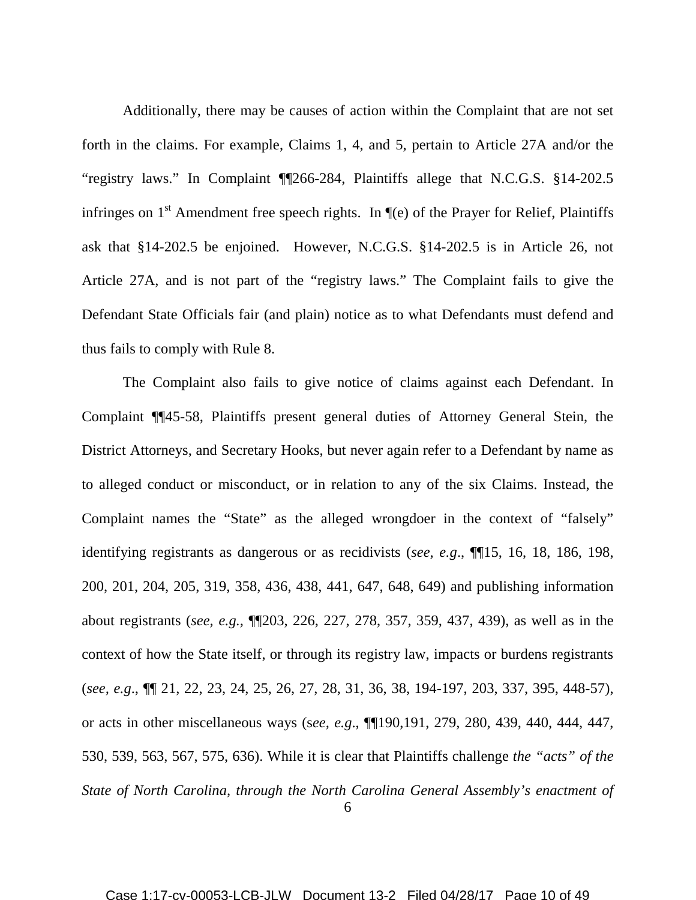Additionally, there may be causes of action within the Complaint that are not set forth in the claims. For example, Claims 1, 4, and 5, pertain to Article 27A and/or the "registry laws." In Complaint ¶¶266-284, Plaintiffs allege that N.C.G.S. §14-202.5 infringes on  $1<sup>st</sup>$  Amendment free speech rights. In  $\P(e)$  of the Prayer for Relief, Plaintiffs ask that §14-202.5 be enjoined. However, N.C.G.S. §14-202.5 is in Article 26, not Article 27A, and is not part of the "registry laws." The Complaint fails to give the Defendant State Officials fair (and plain) notice as to what Defendants must defend and thus fails to comply with Rule 8.

The Complaint also fails to give notice of claims against each Defendant. In Complaint ¶¶45-58, Plaintiffs present general duties of Attorney General Stein, the District Attorneys, and Secretary Hooks, but never again refer to a Defendant by name as to alleged conduct or misconduct, or in relation to any of the six Claims. Instead, the Complaint names the "State" as the alleged wrongdoer in the context of "falsely" identifying registrants as dangerous or as recidivists (*see, e.g*., ¶¶15, 16, 18, 186, 198, 200, 201, 204, 205, 319, 358, 436, 438, 441, 647, 648, 649) and publishing information about registrants (*see, e.g.,* ¶¶203, 226, 227, 278, 357, 359, 437, 439), as well as in the context of how the State itself, or through its registry law, impacts or burdens registrants (*see, e.g*., ¶¶ 21, 22, 23, 24, 25, 26, 27, 28, 31, 36, 38, 194-197, 203, 337, 395, 448-57), or acts in other miscellaneous ways (s*ee, e.g*., ¶¶190,191, 279, 280, 439, 440, 444, 447, 530, 539, 563, 567, 575, 636). While it is clear that Plaintiffs challenge *the "acts" of the State of North Carolina, through the North Carolina General Assembly's enactment of*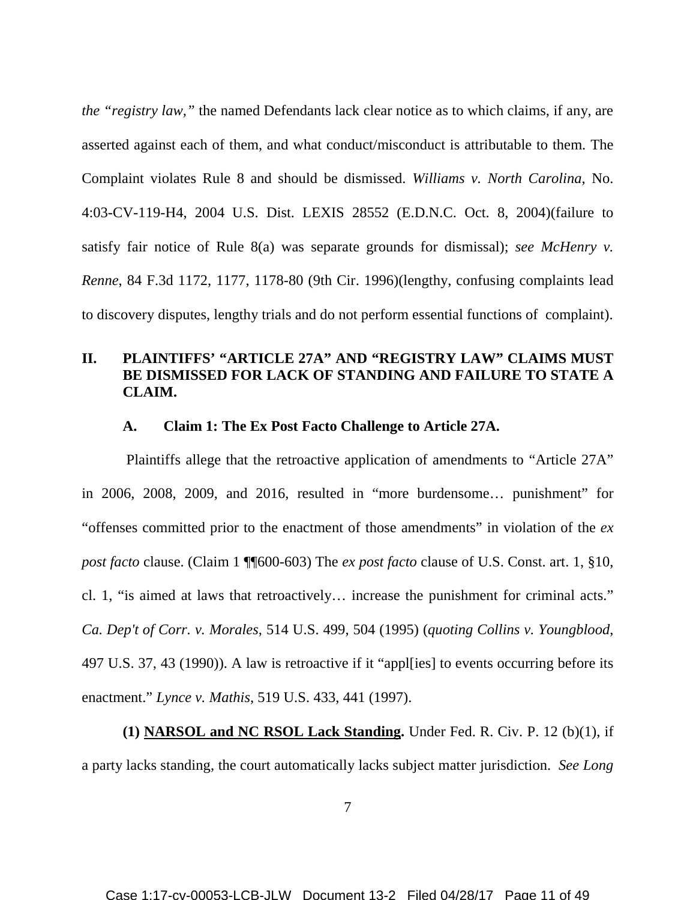*the "registry law,"* the named Defendants lack clear notice as to which claims, if any, are asserted against each of them, and what conduct/misconduct is attributable to them. The Complaint violates Rule 8 and should be dismissed. *Williams v. North Carolina*, No. 4:03-CV-119-H4, 2004 U.S. Dist. LEXIS 28552 (E.D.N.C. Oct. 8, 2004)(failure to satisfy fair notice of Rule 8(a) was separate grounds for dismissal); *see McHenry v. Renne*, 84 F.3d 1172, 1177, 1178-80 (9th Cir. 1996)(lengthy, confusing complaints lead to discovery disputes, lengthy trials and do not perform essential functions of complaint).

# **II. PLAINTIFFS' "ARTICLE 27A" AND "REGISTRY LAW" CLAIMS MUST BE DISMISSED FOR LACK OF STANDING AND FAILURE TO STATE A CLAIM.**

#### **A. Claim 1: The Ex Post Facto Challenge to Article 27A.**

Plaintiffs allege that the retroactive application of amendments to "Article 27A" in 2006, 2008, 2009, and 2016, resulted in "more burdensome… punishment" for "offenses committed prior to the enactment of those amendments" in violation of the *ex post facto* clause. (Claim 1 ¶¶600-603) The *ex post facto* clause of U.S. Const. art. 1, §10, cl. 1, "is aimed at laws that retroactively… increase the punishment for criminal acts." *Ca. Dep't of Corr. v. Morales*, 514 U.S. 499, 504 (1995) (*quoting Collins v. Youngblood*, 497 U.S. 37, 43 (1990)). A law is retroactive if it "appl[ies] to events occurring before its enactment." *Lynce v. Mathis*, 519 U.S. 433, 441 (1997).

**(1) NARSOL and NC RSOL Lack Standing.** Under Fed. R. Civ. P. 12 (b)(1), if a party lacks standing, the court automatically lacks subject matter jurisdiction. *See Long*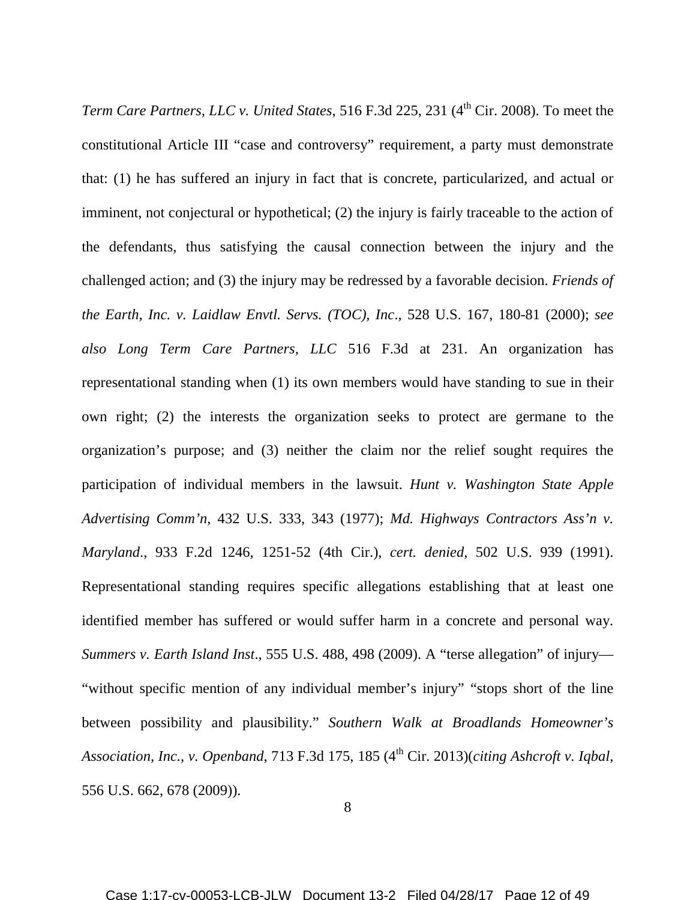*Term Care Partners, LLC v. United States, 516 F.3d 225, 231 (4<sup>th</sup> Cir. 2008). To meet the* constitutional Article III "case and controversy" requirement, a party must demonstrate that: (1) he has suffered an injury in fact that is concrete, particularized, and actual or imminent, not conjectural or hypothetical; (2) the injury is fairly traceable to the action of the defendants, thus satisfying the causal connection between the injury and the challenged action; and (3) the injury may be redressed by a favorable decision. *Friends of the Earth, Inc. v. Laidlaw Envtl. Servs. (TOC), Inc*., 528 U.S. 167, 180-81 (2000); *see also Long Term Care Partners, LLC* 516 F.3d at 231. An organization has representational standing when (1) its own members would have standing to sue in their own right; (2) the interests the organization seeks to protect are germane to the organization's purpose; and (3) neither the claim nor the relief sought requires the participation of individual members in the lawsuit. *Hunt v. Washington State Apple Advertising Comm'n*, 432 U.S. 333, 343 (1977); *Md. Highways Contractors Ass'n v. Maryland*., 933 F.2d 1246, 1251-52 (4th Cir.), *cert. denied*, 502 U.S. 939 (1991). Representational standing requires specific allegations establishing that at least one identified member has suffered or would suffer harm in a concrete and personal way. *Summers v. Earth Island Inst*., 555 U.S. 488, 498 (2009). A "terse allegation" of injury— "without specific mention of any individual member's injury" "stops short of the line between possibility and plausibility." *Southern Walk at Broadlands Homeowner's*  Association, Inc., v. Openband, 713 F.3d 175, 185 (4<sup>th</sup> Cir. 2013)(*citing Ashcroft v. Iqbal*, 556 U.S. 662, 678 (2009)).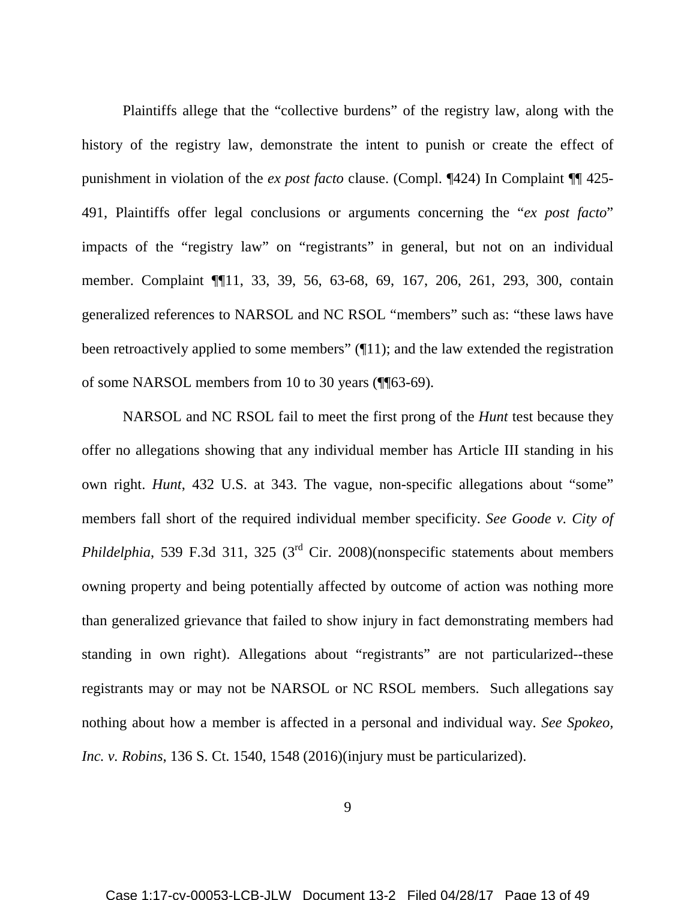Plaintiffs allege that the "collective burdens" of the registry law, along with the history of the registry law, demonstrate the intent to punish or create the effect of punishment in violation of the *ex post facto* clause. (Compl. ¶424) In Complaint ¶¶ 425- 491, Plaintiffs offer legal conclusions or arguments concerning the "*ex post facto*" impacts of the "registry law" on "registrants" in general, but not on an individual member. Complaint ¶¶11, 33, 39, 56, 63-68, 69, 167, 206, 261, 293, 300, contain generalized references to NARSOL and NC RSOL "members" such as: "these laws have been retroactively applied to some members" (11); and the law extended the registration of some NARSOL members from 10 to 30 years (¶¶63-69).

NARSOL and NC RSOL fail to meet the first prong of the *Hunt* test because they offer no allegations showing that any individual member has Article III standing in his own right. *Hunt*, 432 U.S. at 343. The vague, non-specific allegations about "some" members fall short of the required individual member specificity. *See Goode v. City of Phildelphia*, 539 F.3d 311, 325 (3<sup>rd</sup> Cir. 2008)(nonspecific statements about members owning property and being potentially affected by outcome of action was nothing more than generalized grievance that failed to show injury in fact demonstrating members had standing in own right). Allegations about "registrants" are not particularized--these registrants may or may not be NARSOL or NC RSOL members. Such allegations say nothing about how a member is affected in a personal and individual way. *See Spokeo, Inc. v. Robins*, 136 S. Ct. 1540, 1548 (2016)(injury must be particularized).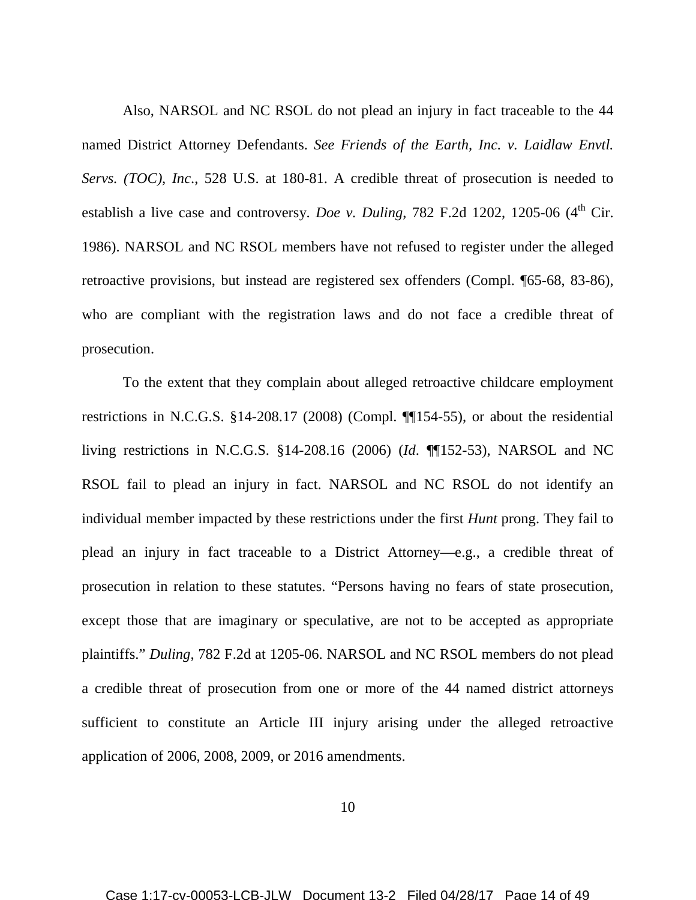Also, NARSOL and NC RSOL do not plead an injury in fact traceable to the 44 named District Attorney Defendants. *See Friends of the Earth, Inc. v. Laidlaw Envtl. Servs. (TOC), Inc*., 528 U.S. at 180-81. A credible threat of prosecution is needed to establish a live case and controversy. *Doe v. Duling*, 782 F.2d 1202, 1205-06 (4<sup>th</sup> Cir. 1986). NARSOL and NC RSOL members have not refused to register under the alleged retroactive provisions, but instead are registered sex offenders (Compl. ¶65-68, 83-86), who are compliant with the registration laws and do not face a credible threat of prosecution.

To the extent that they complain about alleged retroactive childcare employment restrictions in N.C.G.S. §14-208.17 (2008) (Compl. ¶¶154-55), or about the residential living restrictions in N.C.G.S. §14-208.16 (2006) (*Id*. ¶¶152-53), NARSOL and NC RSOL fail to plead an injury in fact. NARSOL and NC RSOL do not identify an individual member impacted by these restrictions under the first *Hunt* prong. They fail to plead an injury in fact traceable to a District Attorney—e.g., a credible threat of prosecution in relation to these statutes. "Persons having no fears of state prosecution, except those that are imaginary or speculative, are not to be accepted as appropriate plaintiffs." *Duling*, 782 F.2d at 1205-06. NARSOL and NC RSOL members do not plead a credible threat of prosecution from one or more of the 44 named district attorneys sufficient to constitute an Article III injury arising under the alleged retroactive application of 2006, 2008, 2009, or 2016 amendments.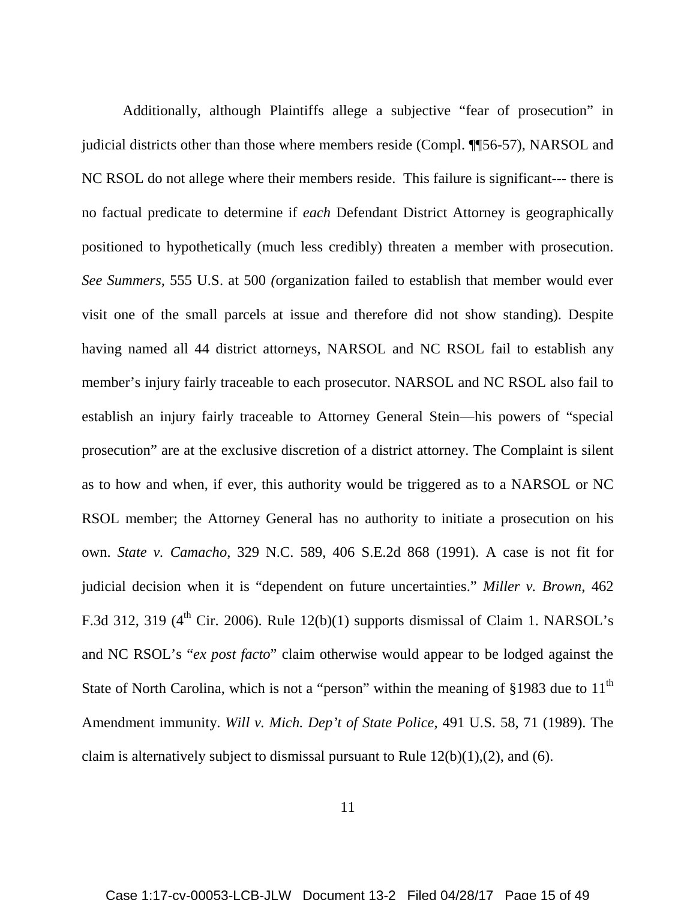Additionally, although Plaintiffs allege a subjective "fear of prosecution" in judicial districts other than those where members reside (Compl. ¶¶56-57), NARSOL and NC RSOL do not allege where their members reside. This failure is significant--- there is no factual predicate to determine if *each* Defendant District Attorney is geographically positioned to hypothetically (much less credibly) threaten a member with prosecution. *See Summers,* 555 U.S. at 500 *(*organization failed to establish that member would ever visit one of the small parcels at issue and therefore did not show standing). Despite having named all 44 district attorneys, NARSOL and NC RSOL fail to establish any member's injury fairly traceable to each prosecutor. NARSOL and NC RSOL also fail to establish an injury fairly traceable to Attorney General Stein—his powers of "special prosecution" are at the exclusive discretion of a district attorney. The Complaint is silent as to how and when, if ever, this authority would be triggered as to a NARSOL or NC RSOL member; the Attorney General has no authority to initiate a prosecution on his own. *State v. Camacho*, 329 N.C. 589, 406 S.E.2d 868 (1991). A case is not fit for judicial decision when it is "dependent on future uncertainties." *Miller v. Brown*, 462 F.3d 312, 319 ( $4<sup>th</sup>$  Cir. 2006). Rule 12(b)(1) supports dismissal of Claim 1. NARSOL's and NC RSOL's "*ex post facto*" claim otherwise would appear to be lodged against the State of North Carolina, which is not a "person" within the meaning of §1983 due to  $11<sup>th</sup>$ Amendment immunity. *Will v. Mich. Dep't of State Police*, 491 U.S. 58, 71 (1989). The claim is alternatively subject to dismissal pursuant to Rule  $12(b)(1),(2)$ , and (6).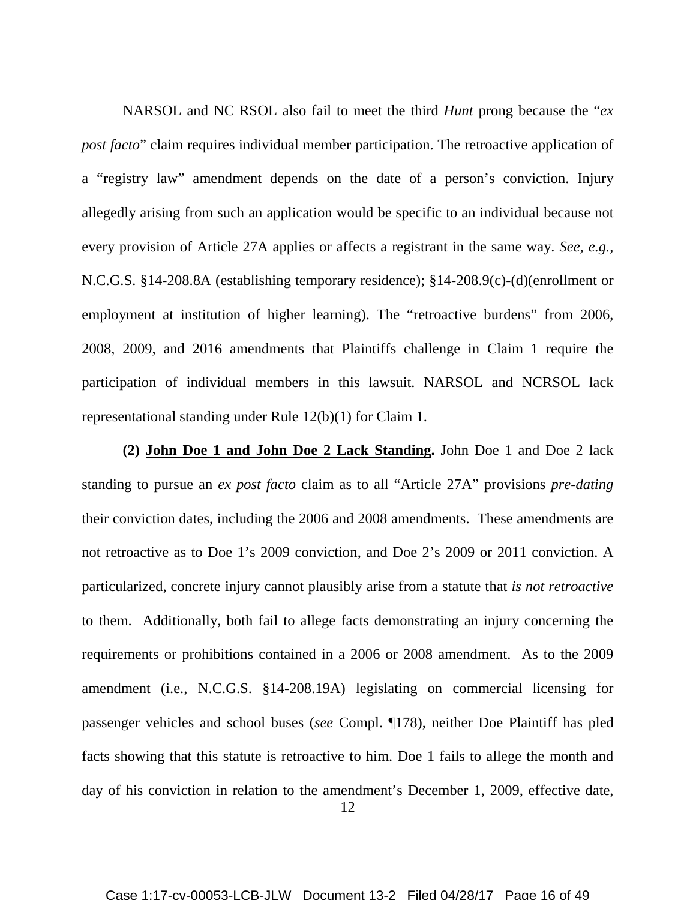NARSOL and NC RSOL also fail to meet the third *Hunt* prong because the "*ex post facto*" claim requires individual member participation. The retroactive application of a "registry law" amendment depends on the date of a person's conviction. Injury allegedly arising from such an application would be specific to an individual because not every provision of Article 27A applies or affects a registrant in the same way. *See, e.g.,* N.C.G.S. §14-208.8A (establishing temporary residence); §14-208.9(c)-(d)(enrollment or employment at institution of higher learning). The "retroactive burdens" from 2006, 2008, 2009, and 2016 amendments that Plaintiffs challenge in Claim 1 require the participation of individual members in this lawsuit. NARSOL and NCRSOL lack representational standing under Rule 12(b)(1) for Claim 1.

**(2) John Doe 1 and John Doe 2 Lack Standing.** John Doe 1 and Doe 2 lack standing to pursue an *ex post facto* claim as to all "Article 27A" provisions *pre-dating* their conviction dates, including the 2006 and 2008 amendments. These amendments are not retroactive as to Doe 1's 2009 conviction, and Doe 2's 2009 or 2011 conviction. A particularized, concrete injury cannot plausibly arise from a statute that *is not retroactive* to them. Additionally, both fail to allege facts demonstrating an injury concerning the requirements or prohibitions contained in a 2006 or 2008 amendment. As to the 2009 amendment (i.e., N.C.G.S. §14-208.19A) legislating on commercial licensing for passenger vehicles and school buses (*see* Compl. ¶178), neither Doe Plaintiff has pled facts showing that this statute is retroactive to him. Doe 1 fails to allege the month and day of his conviction in relation to the amendment's December 1, 2009, effective date,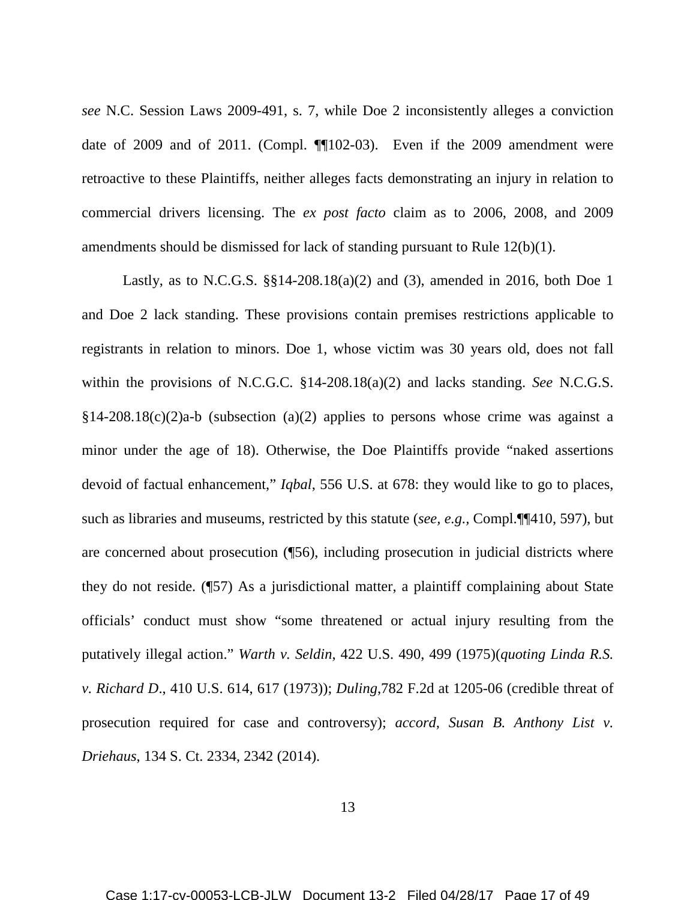*see* N.C. Session Laws 2009-491, s. 7, while Doe 2 inconsistently alleges a conviction date of 2009 and of 2011. (Compl. ¶¶102-03). Even if the 2009 amendment were retroactive to these Plaintiffs, neither alleges facts demonstrating an injury in relation to commercial drivers licensing. The *ex post facto* claim as to 2006, 2008, and 2009 amendments should be dismissed for lack of standing pursuant to Rule 12(b)(1).

Lastly, as to N.C.G.S. §§14-208.18(a)(2) and (3), amended in 2016, both Doe 1 and Doe 2 lack standing. These provisions contain premises restrictions applicable to registrants in relation to minors. Doe 1, whose victim was 30 years old, does not fall within the provisions of N.C.G.C. §14-208.18(a)(2) and lacks standing. *See* N.C.G.S.  $§14-208.18(c)(2)a-b$  (subsection (a)(2) applies to persons whose crime was against a minor under the age of 18). Otherwise, the Doe Plaintiffs provide "naked assertions devoid of factual enhancement," *Iqbal*, 556 U.S. at 678: they would like to go to places, such as libraries and museums, restricted by this statute (*see, e.g.,* Compl.¶¶410, 597), but are concerned about prosecution (¶56), including prosecution in judicial districts where they do not reside. (¶57) As a jurisdictional matter, a plaintiff complaining about State officials' conduct must show "some threatened or actual injury resulting from the putatively illegal action." *Warth v. Seldin*, 422 U.S. 490, 499 (1975)(*quoting Linda R.S. v. Richard D*., 410 U.S. 614, 617 (1973)); *Duling*,782 F.2d at 1205-06 (credible threat of prosecution required for case and controversy); *accord, Susan B. Anthony List v. Driehaus*, 134 S. Ct. 2334, 2342 (2014).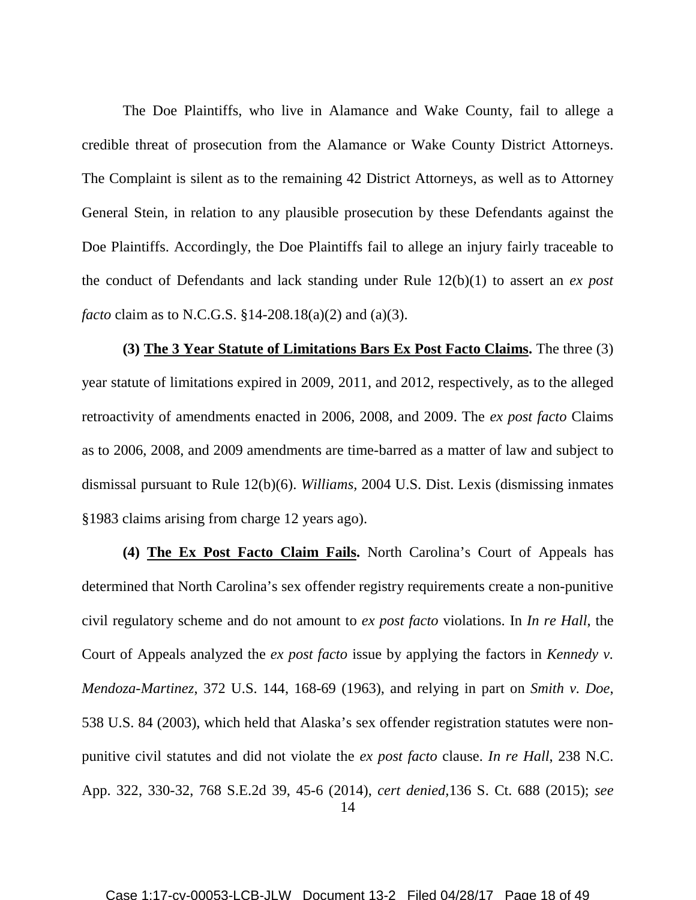The Doe Plaintiffs, who live in Alamance and Wake County, fail to allege a credible threat of prosecution from the Alamance or Wake County District Attorneys. The Complaint is silent as to the remaining 42 District Attorneys, as well as to Attorney General Stein, in relation to any plausible prosecution by these Defendants against the Doe Plaintiffs. Accordingly, the Doe Plaintiffs fail to allege an injury fairly traceable to the conduct of Defendants and lack standing under Rule 12(b)(1) to assert an *ex post facto* claim as to N.C.G.S. §14-208.18(a)(2) and (a)(3).

**(3) The 3 Year Statute of Limitations Bars Ex Post Facto Claims.** The three (3) year statute of limitations expired in 2009, 2011, and 2012, respectively, as to the alleged retroactivity of amendments enacted in 2006, 2008, and 2009. The *ex post facto* Claims as to 2006, 2008, and 2009 amendments are time-barred as a matter of law and subject to dismissal pursuant to Rule 12(b)(6). *Williams,* 2004 U.S. Dist. Lexis (dismissing inmates §1983 claims arising from charge 12 years ago).

14 **(4) The Ex Post Facto Claim Fails.** North Carolina's Court of Appeals has determined that North Carolina's sex offender registry requirements create a non-punitive civil regulatory scheme and do not amount to *ex post facto* violations. In *In re Hall*, the Court of Appeals analyzed the *ex post facto* issue by applying the factors in *Kennedy v. Mendoza-Martinez*, 372 U.S. 144, 168-69 (1963), and relying in part on *Smith v. Doe*, 538 U.S. 84 (2003), which held that Alaska's sex offender registration statutes were nonpunitive civil statutes and did not violate the *ex post facto* clause. *In re Hall*, 238 N.C. App. 322, 330-32, 768 S.E.2d 39, 45-6 (2014), *cert denied,*136 S. Ct. 688 (2015); *see*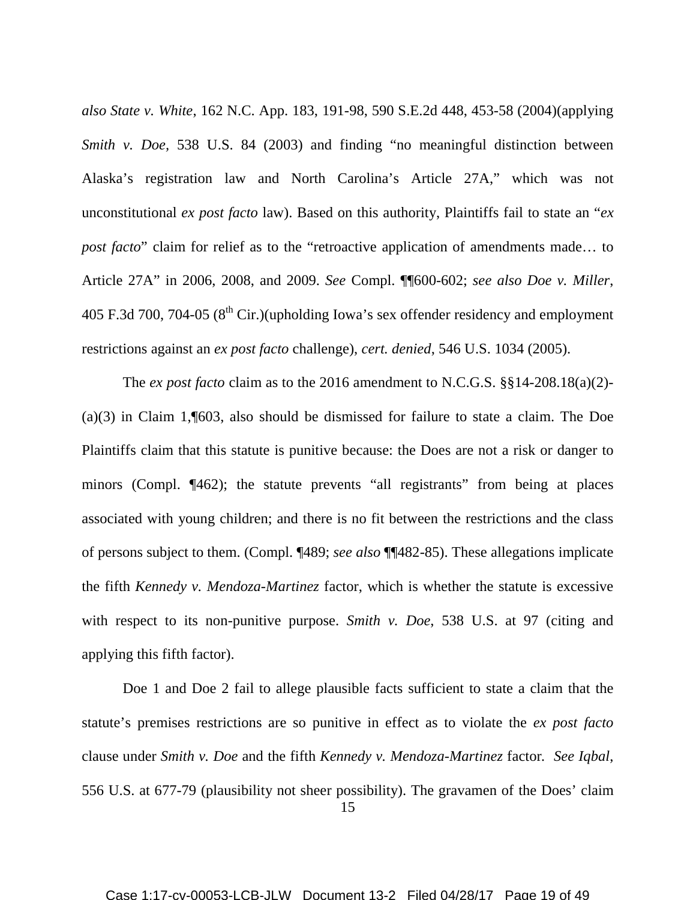*also State v. White*, 162 N.C. App. 183, 191-98, 590 S.E.2d 448, 453-58 (2004)(applying *Smith v. Doe,* 538 U.S. 84 (2003) and finding "no meaningful distinction between Alaska's registration law and North Carolina's Article 27A," which was not unconstitutional *ex post facto* law). Based on this authority, Plaintiffs fail to state an "*ex post facto*" claim for relief as to the "retroactive application of amendments made... to Article 27A" in 2006, 2008, and 2009. *See* Compl. ¶¶600-602; *see also Doe v. Miller*, 405 F.3d 700, 704-05 ( $8<sup>th</sup>$  Cir.)(upholding Iowa's sex offender residency and employment restrictions against an *ex post facto* challenge), *cert. denied*, 546 U.S. 1034 (2005).

The *ex post facto* claim as to the 2016 amendment to N.C.G.S. §§14-208.18(a)(2)- (a)(3) in Claim 1,¶603, also should be dismissed for failure to state a claim. The Doe Plaintiffs claim that this statute is punitive because: the Does are not a risk or danger to minors (Compl. ¶462); the statute prevents "all registrants" from being at places associated with young children; and there is no fit between the restrictions and the class of persons subject to them. (Compl. ¶489; *see also* ¶¶482-85). These allegations implicate the fifth *Kennedy v. Mendoza-Martinez* factor, which is whether the statute is excessive with respect to its non-punitive purpose. *Smith v. Doe*, 538 U.S. at 97 (citing and applying this fifth factor).

Doe 1 and Doe 2 fail to allege plausible facts sufficient to state a claim that the statute's premises restrictions are so punitive in effect as to violate the *ex post facto* clause under *Smith v. Doe* and the fifth *Kennedy v. Mendoza-Martinez* factor*. See Iqbal*, 556 U.S. at 677-79 (plausibility not sheer possibility). The gravamen of the Does' claim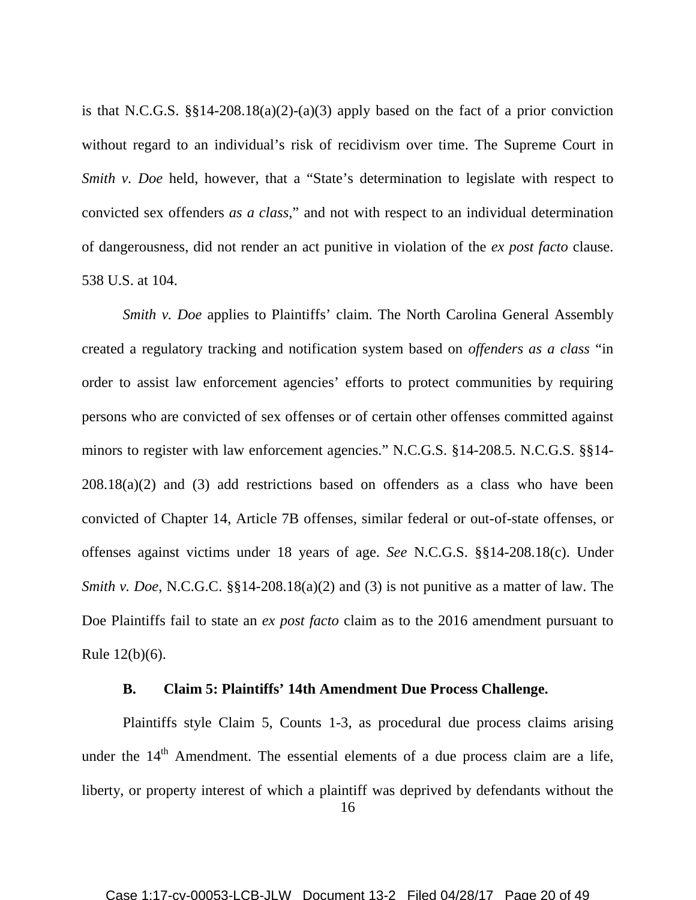is that N.C.G.S.  $\S$ [14-208.18(a)(2)-(a)(3) apply based on the fact of a prior conviction without regard to an individual's risk of recidivism over time. The Supreme Court in *Smith v. Doe* held, however, that a "State's determination to legislate with respect to convicted sex offenders *as a class*," and not with respect to an individual determination of dangerousness, did not render an act punitive in violation of the *ex post facto* clause. 538 U.S. at 104.

*Smith v. Doe* applies to Plaintiffs' claim. The North Carolina General Assembly created a regulatory tracking and notification system based on *offenders as a class* "in order to assist law enforcement agencies' efforts to protect communities by requiring persons who are convicted of sex offenses or of certain other offenses committed against minors to register with law enforcement agencies." N.C.G.S. §14-208.5. N.C.G.S. §§14- 208.18(a)(2) and (3) add restrictions based on offenders as a class who have been convicted of Chapter 14, Article 7B offenses, similar federal or out-of-state offenses, or offenses against victims under 18 years of age. *See* N.C.G.S. §§14-208.18(c). Under *Smith v. Doe, N.C.G.C.* §§14-208.18(a)(2) and (3) is not punitive as a matter of law. The Doe Plaintiffs fail to state an *ex post facto* claim as to the 2016 amendment pursuant to Rule 12(b)(6).

#### **B. Claim 5: Plaintiffs' 14th Amendment Due Process Challenge.**

Plaintiffs style Claim 5, Counts 1-3, as procedural due process claims arising under the 14<sup>th</sup> Amendment. The essential elements of a due process claim are a life, liberty, or property interest of which a plaintiff was deprived by defendants without the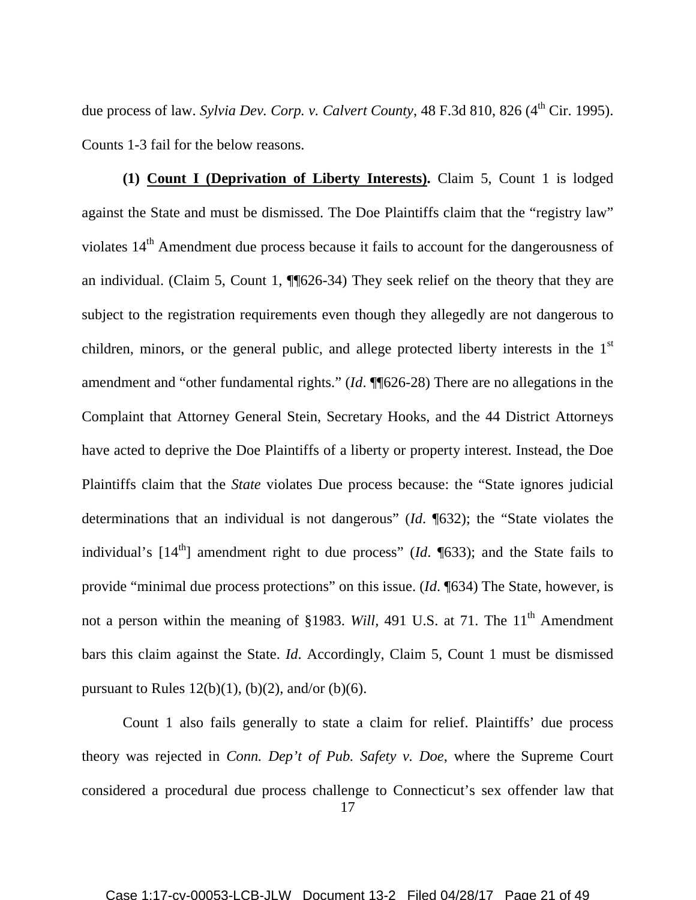due process of law. *Sylvia Dev. Corp. v. Calvert County*, 48 F.3d 810, 826 (4<sup>th</sup> Cir. 1995). Counts 1-3 fail for the below reasons.

**(1) Count I (Deprivation of Liberty Interests).** Claim 5, Count 1 is lodged against the State and must be dismissed. The Doe Plaintiffs claim that the "registry law" violates 14<sup>th</sup> Amendment due process because it fails to account for the dangerousness of an individual. (Claim 5, Count 1, ¶¶626-34) They seek relief on the theory that they are subject to the registration requirements even though they allegedly are not dangerous to children, minors, or the general public, and allege protected liberty interests in the  $1<sup>st</sup>$ amendment and "other fundamental rights." (*Id*. ¶¶626-28) There are no allegations in the Complaint that Attorney General Stein, Secretary Hooks, and the 44 District Attorneys have acted to deprive the Doe Plaintiffs of a liberty or property interest. Instead, the Doe Plaintiffs claim that the *State* violates Due process because: the "State ignores judicial determinations that an individual is not dangerous" (*Id*. ¶632); the "State violates the individual's  $[14<sup>th</sup>]$  amendment right to due process" (*Id.* [633); and the State fails to provide "minimal due process protections" on this issue. (*Id*. ¶634) The State, however, is not a person within the meaning of §1983. *Will*, 491 U.S. at 71. The 11<sup>th</sup> Amendment bars this claim against the State. *Id*. Accordingly, Claim 5, Count 1 must be dismissed pursuant to Rules  $12(b)(1)$ ,  $(b)(2)$ , and/or  $(b)(6)$ .

17 Count 1 also fails generally to state a claim for relief. Plaintiffs' due process theory was rejected in *Conn. Dep't of Pub. Safety v. Doe*, where the Supreme Court considered a procedural due process challenge to Connecticut's sex offender law that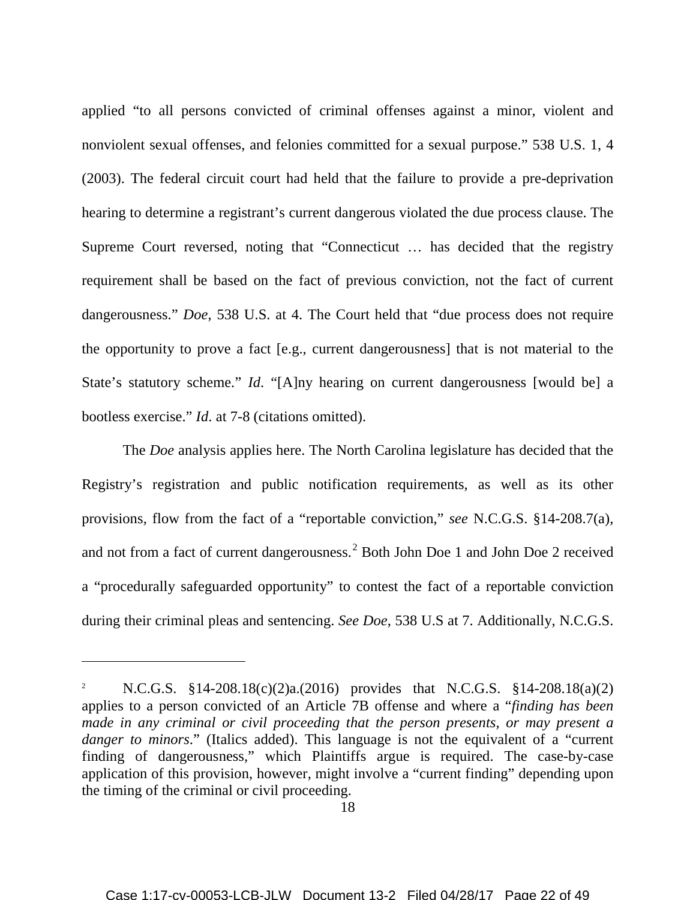applied "to all persons convicted of criminal offenses against a minor, violent and nonviolent sexual offenses, and felonies committed for a sexual purpose." 538 U.S. 1, 4 (2003). The federal circuit court had held that the failure to provide a pre-deprivation hearing to determine a registrant's current dangerous violated the due process clause. The Supreme Court reversed, noting that "Connecticut … has decided that the registry requirement shall be based on the fact of previous conviction, not the fact of current dangerousness." *Doe*, 538 U.S. at 4. The Court held that "due process does not require the opportunity to prove a fact [e.g., current dangerousness] that is not material to the State's statutory scheme." *Id*. "[A]ny hearing on current dangerousness [would be] a bootless exercise." *Id*. at 7-8 (citations omitted).

The *Doe* analysis applies here. The North Carolina legislature has decided that the Registry's registration and public notification requirements, as well as its other provisions, flow from the fact of a "reportable conviction," *see* N.C.G.S. §14-208.7(a), and not from a fact of current dangerousness.<sup>[2](#page-21-0)</sup> Both John Doe 1 and John Doe 2 received a "procedurally safeguarded opportunity" to contest the fact of a reportable conviction during their criminal pleas and sentencing. *See Doe*, 538 U.S at 7. Additionally, N.C.G.S.

 $\overline{a}$ 

<span id="page-21-0"></span><sup>2</sup> N.C.G.S. §14-208.18(c)(2)a.(2016) provides that N.C.G.S. §14-208.18(a)(2) applies to a person convicted of an Article 7B offense and where a "*finding has been made in any criminal or civil proceeding that the person presents, or may present a danger to minors.*" (Italics added). This language is not the equivalent of a "current" finding of dangerousness," which Plaintiffs argue is required. The case-by-case application of this provision, however, might involve a "current finding" depending upon the timing of the criminal or civil proceeding.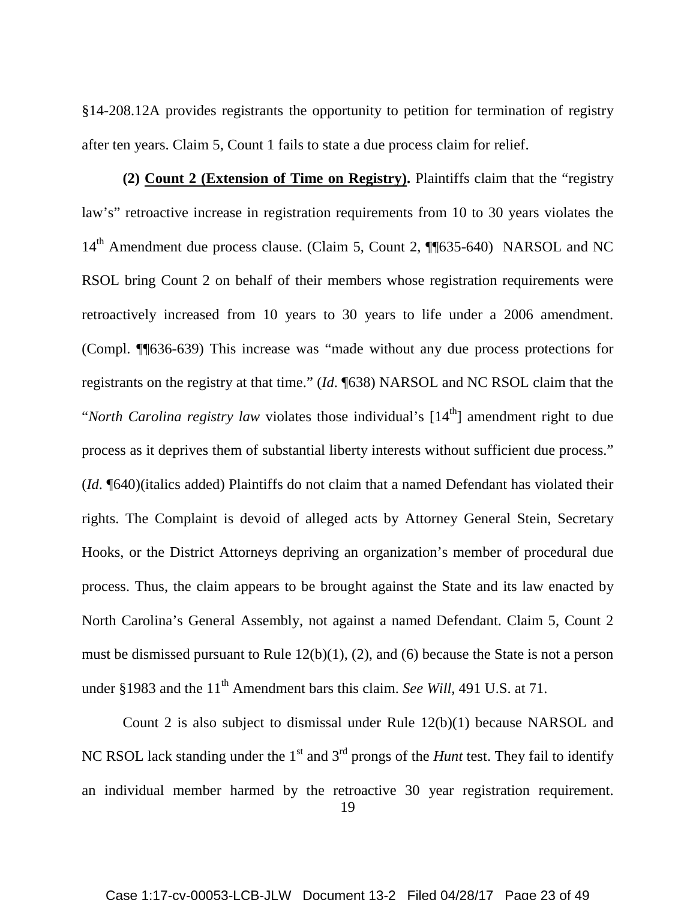§14-208.12A provides registrants the opportunity to petition for termination of registry after ten years. Claim 5, Count 1 fails to state a due process claim for relief.

**(2) Count 2 (Extension of Time on Registry).** Plaintiffs claim that the "registry law's" retroactive increase in registration requirements from 10 to 30 years violates the 14<sup>th</sup> Amendment due process clause. (Claim 5, Count 2, ¶¶635-640) NARSOL and NC RSOL bring Count 2 on behalf of their members whose registration requirements were retroactively increased from 10 years to 30 years to life under a 2006 amendment. (Compl. ¶¶636-639) This increase was "made without any due process protections for registrants on the registry at that time." (*Id*. ¶638) NARSOL and NC RSOL claim that the *"North Carolina registry law* violates those individual's [14<sup>th</sup>] amendment right to due process as it deprives them of substantial liberty interests without sufficient due process." (*Id*. ¶640)(italics added) Plaintiffs do not claim that a named Defendant has violated their rights. The Complaint is devoid of alleged acts by Attorney General Stein, Secretary Hooks, or the District Attorneys depriving an organization's member of procedural due process. Thus, the claim appears to be brought against the State and its law enacted by North Carolina's General Assembly, not against a named Defendant. Claim 5, Count 2 must be dismissed pursuant to Rule 12(b)(1), (2), and (6) because the State is not a person under §1983 and the 11<sup>th</sup> Amendment bars this claim. *See Will*, 491 U.S. at 71.

Count 2 is also subject to dismissal under Rule 12(b)(1) because NARSOL and NC RSOL lack standing under the 1<sup>st</sup> and 3<sup>rd</sup> prongs of the *Hunt* test. They fail to identify an individual member harmed by the retroactive 30 year registration requirement.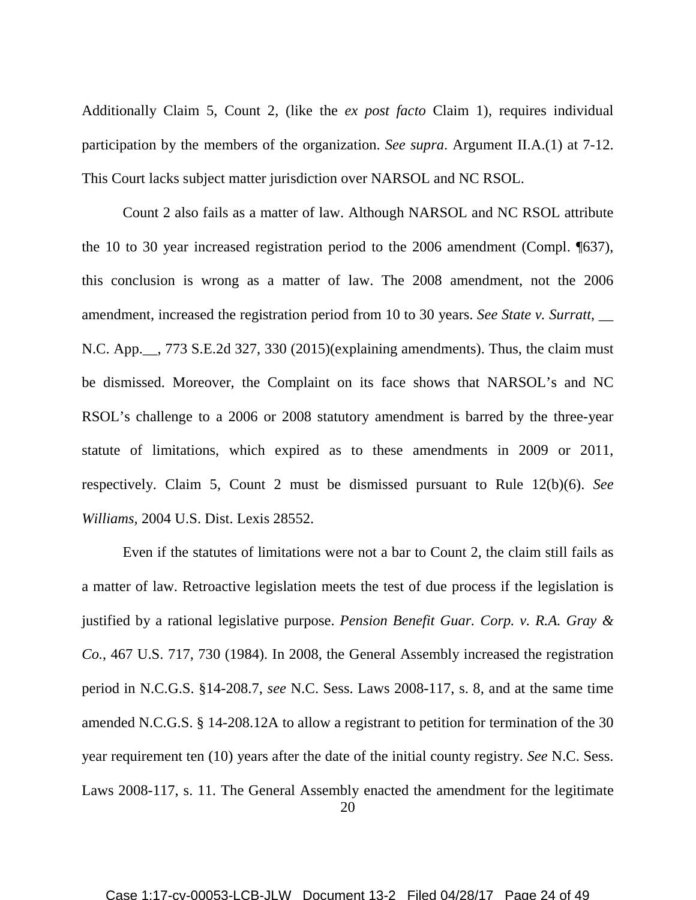Additionally Claim 5, Count 2, (like the *ex post facto* Claim 1), requires individual participation by the members of the organization. *See supra*. Argument II.A.(1) at 7-12. This Court lacks subject matter jurisdiction over NARSOL and NC RSOL.

Count 2 also fails as a matter of law. Although NARSOL and NC RSOL attribute the 10 to 30 year increased registration period to the 2006 amendment (Compl. ¶637), this conclusion is wrong as a matter of law. The 2008 amendment, not the 2006 amendment, increased the registration period from 10 to 30 years. *See State v. Surratt*, N.C. App.\_\_, 773 S.E.2d 327, 330 (2015)(explaining amendments). Thus, the claim must be dismissed. Moreover, the Complaint on its face shows that NARSOL's and NC RSOL's challenge to a 2006 or 2008 statutory amendment is barred by the three-year statute of limitations, which expired as to these amendments in 2009 or 2011, respectively. Claim 5, Count 2 must be dismissed pursuant to Rule 12(b)(6). *See Williams,* 2004 U.S. Dist. Lexis 28552.

20 Even if the statutes of limitations were not a bar to Count 2, the claim still fails as a matter of law. Retroactive legislation meets the test of due process if the legislation is justified by a rational legislative purpose. *Pension Benefit Guar. Corp. v. R.A. Gray & Co.*, 467 U.S. 717, 730 (1984). In 2008, the General Assembly increased the registration period in N.C.G.S. §14-208.7, *see* N.C. Sess. Laws 2008-117, s. 8, and at the same time amended N.C.G.S. § 14-208.12A to allow a registrant to petition for termination of the 30 year requirement ten (10) years after the date of the initial county registry. *See* N.C. Sess. Laws 2008-117, s. 11. The General Assembly enacted the amendment for the legitimate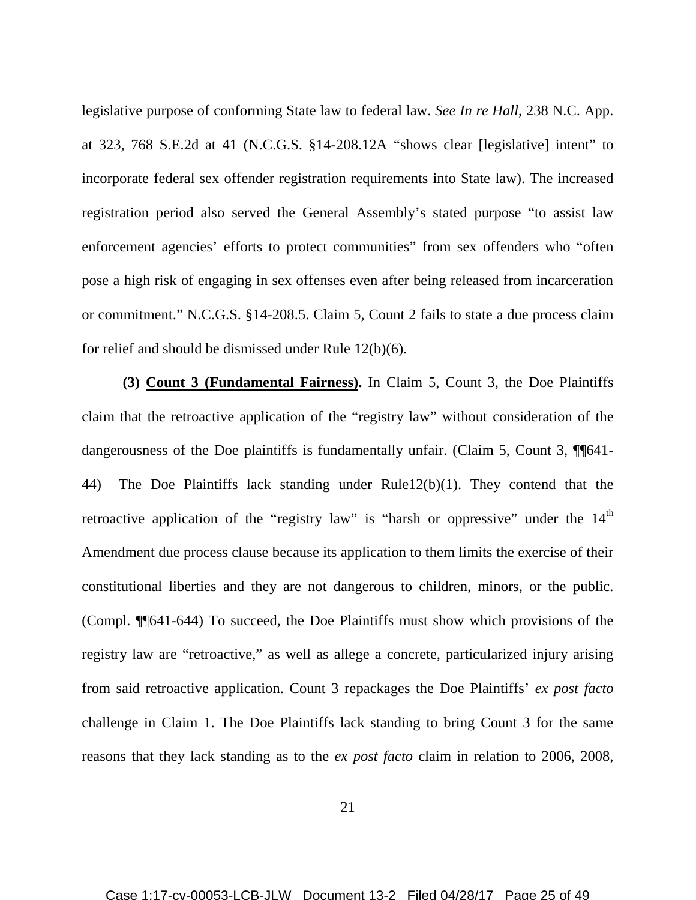legislative purpose of conforming State law to federal law. *See In re Hall*, 238 N.C. App. at 323, 768 S.E.2d at 41 (N.C.G.S. §14-208.12A "shows clear [legislative] intent" to incorporate federal sex offender registration requirements into State law). The increased registration period also served the General Assembly's stated purpose "to assist law enforcement agencies' efforts to protect communities" from sex offenders who "often pose a high risk of engaging in sex offenses even after being released from incarceration or commitment." N.C.G.S. §14-208.5. Claim 5, Count 2 fails to state a due process claim for relief and should be dismissed under Rule 12(b)(6).

**(3) Count 3 (Fundamental Fairness).** In Claim 5, Count 3, the Doe Plaintiffs claim that the retroactive application of the "registry law" without consideration of the dangerousness of the Doe plaintiffs is fundamentally unfair. (Claim 5, Count 3, ¶¶641-44) The Doe Plaintiffs lack standing under Rule12(b)(1). They contend that the retroactive application of the "registry law" is "harsh or oppressive" under the  $14<sup>th</sup>$ Amendment due process clause because its application to them limits the exercise of their constitutional liberties and they are not dangerous to children, minors, or the public. (Compl. ¶¶641-644) To succeed, the Doe Plaintiffs must show which provisions of the registry law are "retroactive," as well as allege a concrete, particularized injury arising from said retroactive application. Count 3 repackages the Doe Plaintiffs' *ex post facto* challenge in Claim 1. The Doe Plaintiffs lack standing to bring Count 3 for the same reasons that they lack standing as to the *ex post facto* claim in relation to 2006, 2008,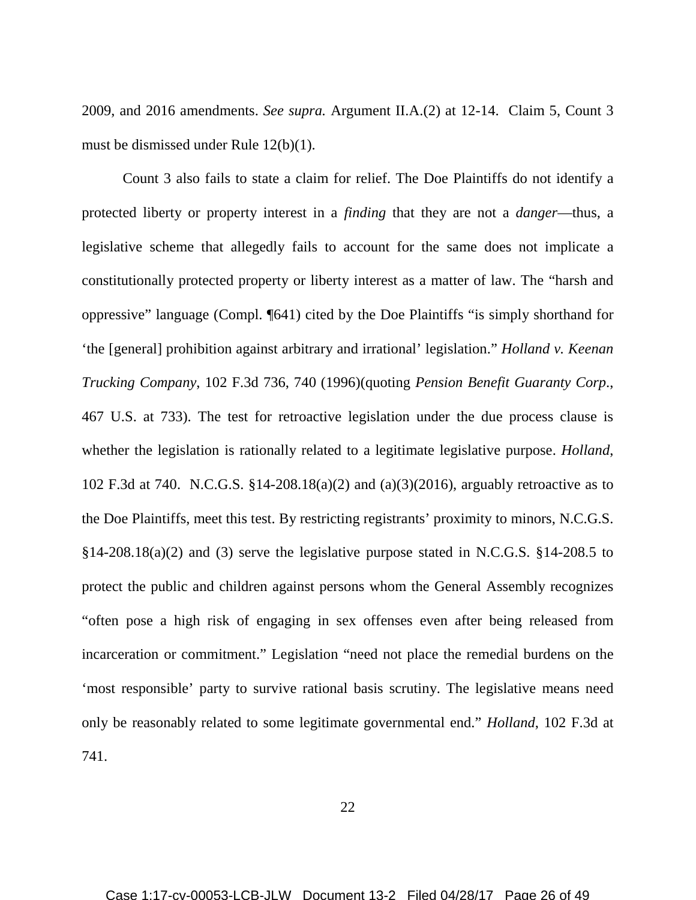2009, and 2016 amendments. *See supra.* Argument II.A.(2) at 12-14. Claim 5, Count 3 must be dismissed under Rule 12(b)(1).

Count 3 also fails to state a claim for relief. The Doe Plaintiffs do not identify a protected liberty or property interest in a *finding* that they are not a *danger*—thus, a legislative scheme that allegedly fails to account for the same does not implicate a constitutionally protected property or liberty interest as a matter of law. The "harsh and oppressive" language (Compl. ¶641) cited by the Doe Plaintiffs "is simply shorthand for 'the [general] prohibition against arbitrary and irrational' legislation." *Holland v. Keenan Trucking Company*, 102 F.3d 736, 740 (1996)(quoting *Pension Benefit Guaranty Corp*., 467 U.S. at 733). The test for retroactive legislation under the due process clause is whether the legislation is rationally related to a legitimate legislative purpose. *Holland*, 102 F.3d at 740. N.C.G.S. §14-208.18(a)(2) and (a)(3)(2016), arguably retroactive as to the Doe Plaintiffs, meet this test. By restricting registrants' proximity to minors, N.C.G.S.  $§14-208.18(a)(2)$  and (3) serve the legislative purpose stated in N.C.G.S.  $§14-208.5$  to protect the public and children against persons whom the General Assembly recognizes "often pose a high risk of engaging in sex offenses even after being released from incarceration or commitment." Legislation "need not place the remedial burdens on the 'most responsible' party to survive rational basis scrutiny. The legislative means need only be reasonably related to some legitimate governmental end." *Holland*, 102 F.3d at 741.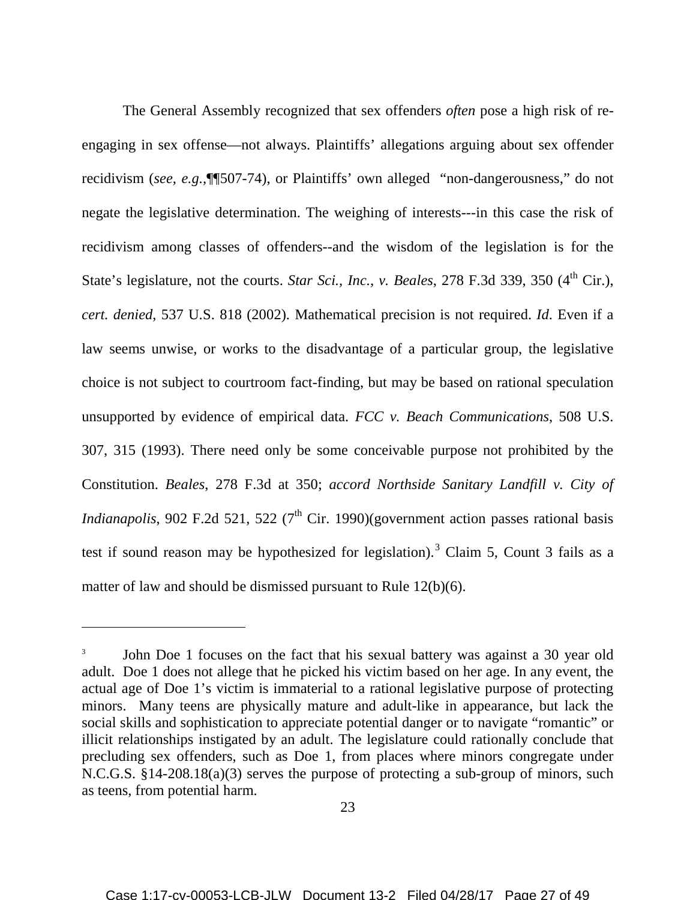The General Assembly recognized that sex offenders *often* pose a high risk of reengaging in sex offense—not always. Plaintiffs' allegations arguing about sex offender recidivism (*see, e.g.,*¶¶507-74), or Plaintiffs' own alleged "non-dangerousness," do not negate the legislative determination. The weighing of interests---in this case the risk of recidivism among classes of offenders--and the wisdom of the legislation is for the State's legislature, not the courts. *Star Sci., Inc., v. Beales*, 278 F.3d 339, 350 (4<sup>th</sup> Cir.), *cert. denied*, 537 U.S. 818 (2002). Mathematical precision is not required. *Id*. Even if a law seems unwise, or works to the disadvantage of a particular group, the legislative choice is not subject to courtroom fact-finding, but may be based on rational speculation unsupported by evidence of empirical data. *FCC v. Beach Communications*, 508 U.S. 307, 315 (1993). There need only be some conceivable purpose not prohibited by the Constitution. *Beales*, 278 F.3d at 350; *accord Northside Sanitary Landfill v. City of Indianapolis*, 902 F.2d 521, 522 ( $7<sup>th</sup>$  Cir. 1990)(government action passes rational basis test if sound reason may be hypothesized for legislation).<sup>[3](#page-26-0)</sup> Claim 5, Count 3 fails as a matter of law and should be dismissed pursuant to Rule 12(b)(6).

 $\overline{a}$ 

<span id="page-26-0"></span><sup>3</sup> John Doe 1 focuses on the fact that his sexual battery was against a 30 year old adult. Doe 1 does not allege that he picked his victim based on her age. In any event, the actual age of Doe 1's victim is immaterial to a rational legislative purpose of protecting minors. Many teens are physically mature and adult-like in appearance, but lack the social skills and sophistication to appreciate potential danger or to navigate "romantic" or illicit relationships instigated by an adult. The legislature could rationally conclude that precluding sex offenders, such as Doe 1, from places where minors congregate under N.C.G.S. §14-208.18(a)(3) serves the purpose of protecting a sub-group of minors, such as teens, from potential harm.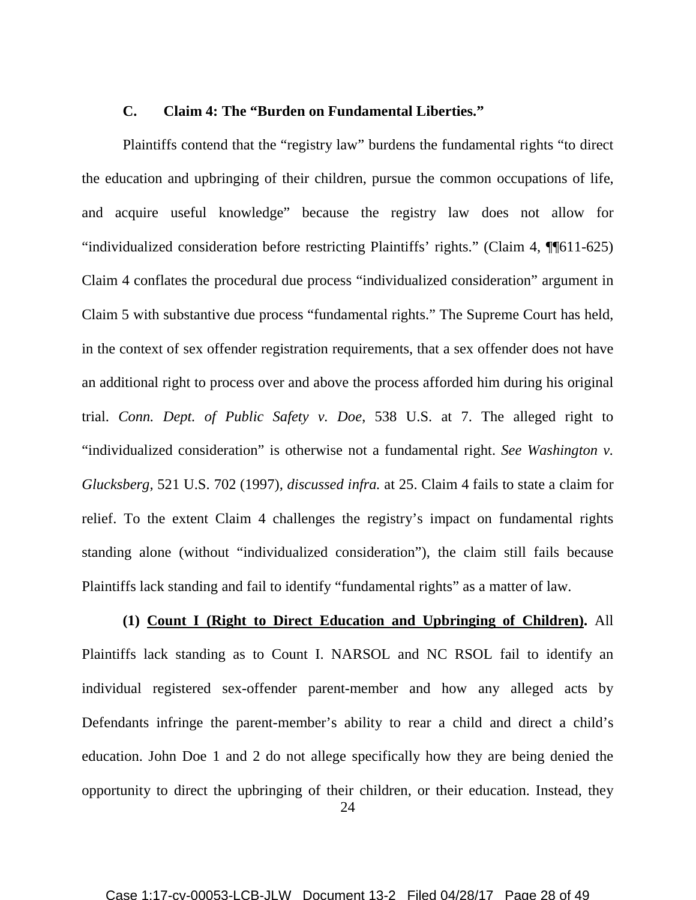#### **C. Claim 4: The "Burden on Fundamental Liberties."**

Plaintiffs contend that the "registry law" burdens the fundamental rights "to direct the education and upbringing of their children, pursue the common occupations of life, and acquire useful knowledge" because the registry law does not allow for "individualized consideration before restricting Plaintiffs' rights." (Claim 4, ¶¶611-625) Claim 4 conflates the procedural due process "individualized consideration" argument in Claim 5 with substantive due process "fundamental rights." The Supreme Court has held, in the context of sex offender registration requirements, that a sex offender does not have an additional right to process over and above the process afforded him during his original trial. *Conn. Dept. of Public Safety v. Doe*, 538 U.S. at 7. The alleged right to "individualized consideration" is otherwise not a fundamental right. *See Washington v. Glucksberg,* 521 U.S. 702 (1997)*, discussed infra.* at 25. Claim 4 fails to state a claim for relief. To the extent Claim 4 challenges the registry's impact on fundamental rights standing alone (without "individualized consideration"), the claim still fails because Plaintiffs lack standing and fail to identify "fundamental rights" as a matter of law.

**(1) Count I (Right to Direct Education and Upbringing of Children).** All Plaintiffs lack standing as to Count I. NARSOL and NC RSOL fail to identify an individual registered sex-offender parent-member and how any alleged acts by Defendants infringe the parent-member's ability to rear a child and direct a child's education. John Doe 1 and 2 do not allege specifically how they are being denied the opportunity to direct the upbringing of their children, or their education. Instead, they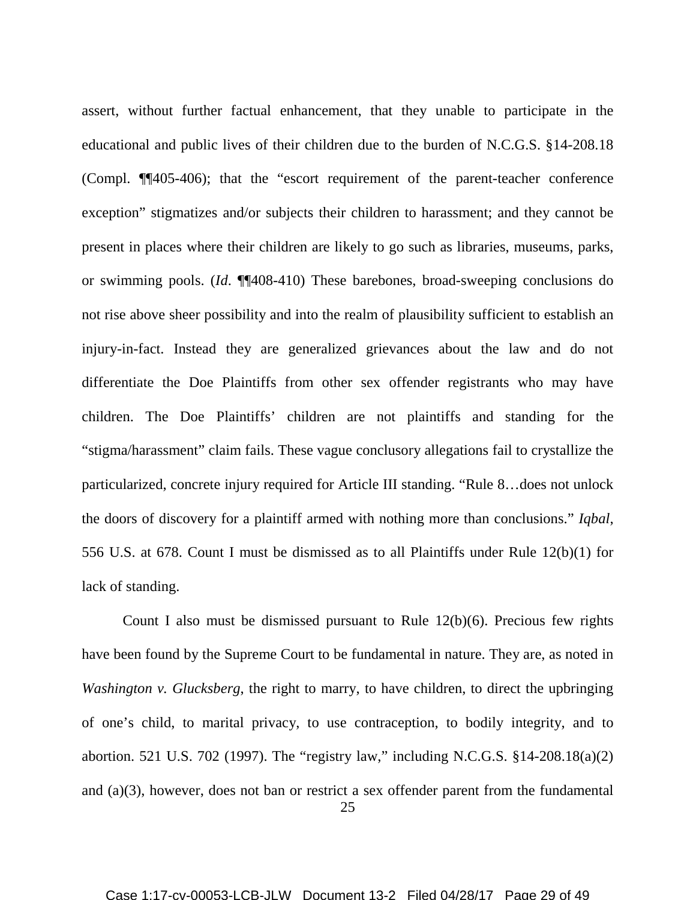assert, without further factual enhancement, that they unable to participate in the educational and public lives of their children due to the burden of N.C.G.S. §14-208.18 (Compl. ¶¶405-406); that the "escort requirement of the parent-teacher conference exception" stigmatizes and/or subjects their children to harassment; and they cannot be present in places where their children are likely to go such as libraries, museums, parks, or swimming pools. (*Id*. ¶¶408-410) These barebones, broad-sweeping conclusions do not rise above sheer possibility and into the realm of plausibility sufficient to establish an injury-in-fact. Instead they are generalized grievances about the law and do not differentiate the Doe Plaintiffs from other sex offender registrants who may have children. The Doe Plaintiffs' children are not plaintiffs and standing for the "stigma/harassment" claim fails. These vague conclusory allegations fail to crystallize the particularized, concrete injury required for Article III standing. "Rule 8…does not unlock the doors of discovery for a plaintiff armed with nothing more than conclusions." *Iqbal*, 556 U.S. at 678. Count I must be dismissed as to all Plaintiffs under Rule 12(b)(1) for lack of standing.

Count I also must be dismissed pursuant to Rule 12(b)(6). Precious few rights have been found by the Supreme Court to be fundamental in nature. They are, as noted in *Washington v. Glucksberg*, the right to marry, to have children, to direct the upbringing of one's child, to marital privacy, to use contraception, to bodily integrity, and to abortion. 521 U.S. 702 (1997). The "registry law," including N.C.G.S. §14-208.18(a)(2) and (a)(3), however, does not ban or restrict a sex offender parent from the fundamental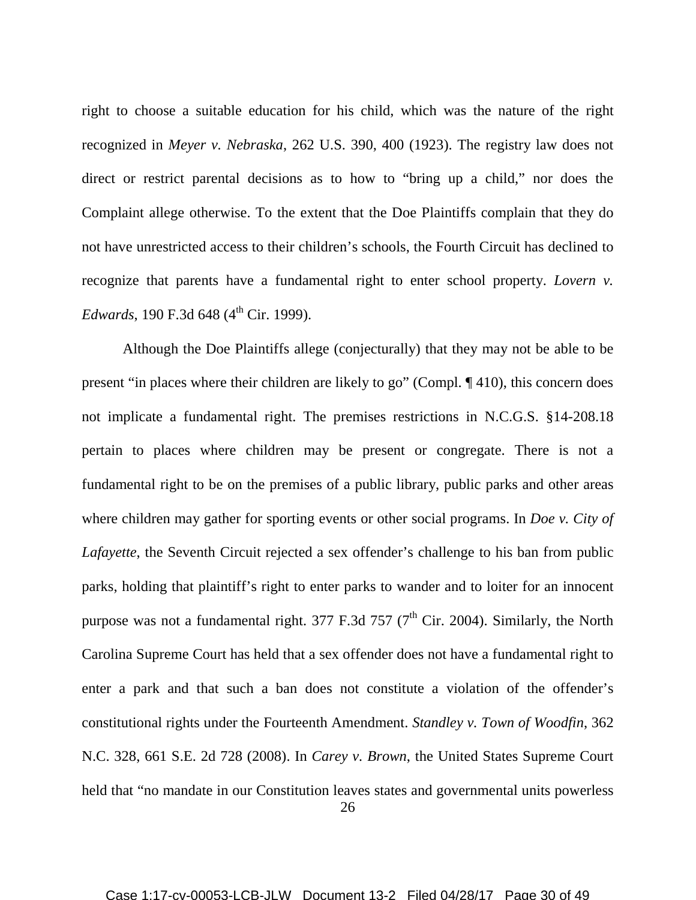right to choose a suitable education for his child, which was the nature of the right recognized in *Meyer v. Nebraska*, 262 U.S. 390, 400 (1923). The registry law does not direct or restrict parental decisions as to how to "bring up a child," nor does the Complaint allege otherwise. To the extent that the Doe Plaintiffs complain that they do not have unrestricted access to their children's schools, the Fourth Circuit has declined to recognize that parents have a fundamental right to enter school property. *Lovern v. Edwards*, 190 F.3d 648 (4<sup>th</sup> Cir. 1999).

26 Although the Doe Plaintiffs allege (conjecturally) that they may not be able to be present "in places where their children are likely to go" (Compl. ¶ 410), this concern does not implicate a fundamental right. The premises restrictions in N.C.G.S. §14-208.18 pertain to places where children may be present or congregate. There is not a fundamental right to be on the premises of a public library, public parks and other areas where children may gather for sporting events or other social programs. In *Doe v. City of Lafayette*, the Seventh Circuit rejected a sex offender's challenge to his ban from public parks, holding that plaintiff's right to enter parks to wander and to loiter for an innocent purpose was not a fundamental right.  $377$  F.3d  $757$  ( $7<sup>th</sup>$  Cir. 2004). Similarly, the North Carolina Supreme Court has held that a sex offender does not have a fundamental right to enter a park and that such a ban does not constitute a violation of the offender's constitutional rights under the Fourteenth Amendment. *Standley v. Town of Woodfin*, 362 N.C. 328, 661 S.E. 2d 728 (2008). In *Carey v. Brown*, the United States Supreme Court held that "no mandate in our Constitution leaves states and governmental units powerless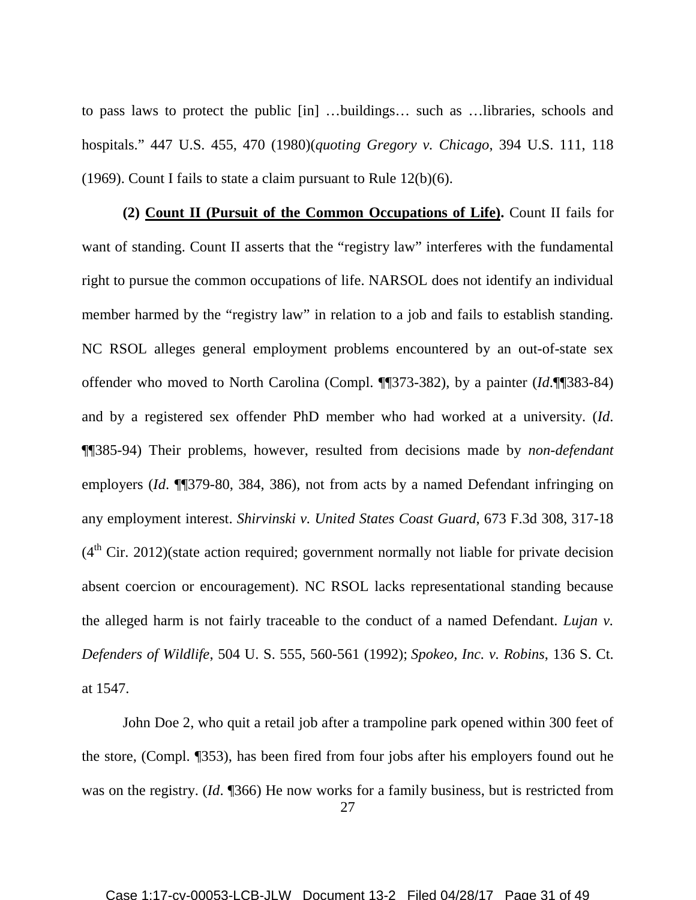to pass laws to protect the public [in] …buildings… such as …libraries, schools and hospitals." 447 U.S. 455, 470 (1980)(*quoting Gregory v. Chicago*, 394 U.S. 111, 118 (1969). Count I fails to state a claim pursuant to Rule 12(b)(6).

**(2) Count II (Pursuit of the Common Occupations of Life).** Count II fails for want of standing. Count II asserts that the "registry law" interferes with the fundamental right to pursue the common occupations of life. NARSOL does not identify an individual member harmed by the "registry law" in relation to a job and fails to establish standing. NC RSOL alleges general employment problems encountered by an out-of-state sex offender who moved to North Carolina (Compl. ¶¶373-382), by a painter (*Id*.¶¶383-84) and by a registered sex offender PhD member who had worked at a university. (*Id*. ¶¶385-94) Their problems, however, resulted from decisions made by *non-defendant* employers (*Id*. ¶¶379-80, 384, 386), not from acts by a named Defendant infringing on any employment interest. *Shirvinski v. United States Coast Guard*, 673 F.3d 308, 317-18  $(4<sup>th</sup> Cir. 2012)$ (state action required; government normally not liable for private decision absent coercion or encouragement). NC RSOL lacks representational standing because the alleged harm is not fairly traceable to the conduct of a named Defendant. *Lujan v. Defenders of Wildlife*, 504 U. S. 555, 560-561 (1992); *Spokeo, Inc. v. Robins*, 136 S. Ct. at 1547.

27 John Doe 2, who quit a retail job after a trampoline park opened within 300 feet of the store, (Compl. ¶353), has been fired from four jobs after his employers found out he was on the registry. (*Id*. ¶366) He now works for a family business, but is restricted from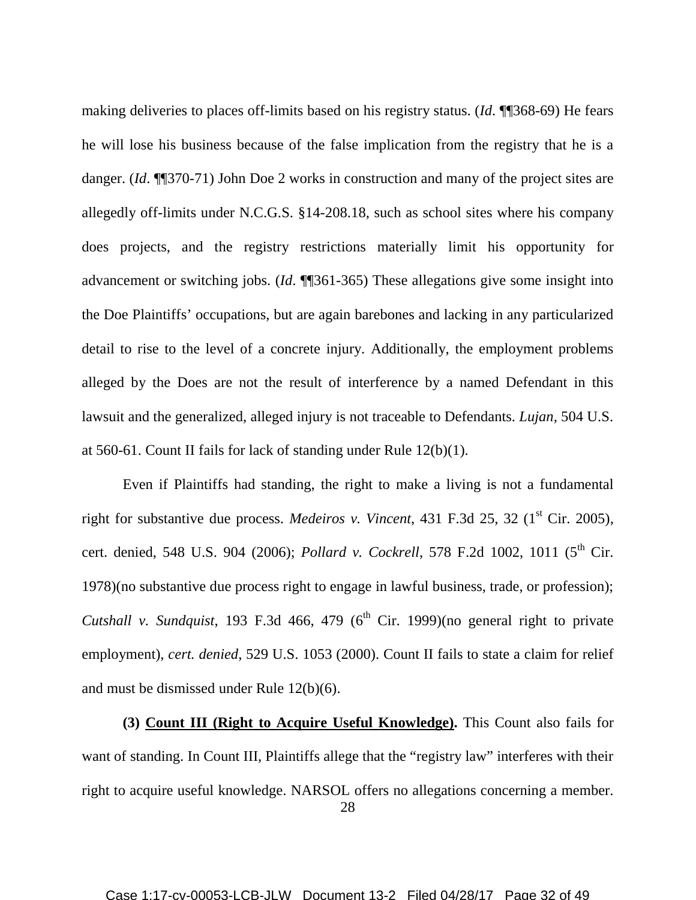making deliveries to places off-limits based on his registry status. (*Id*. ¶¶368-69) He fears he will lose his business because of the false implication from the registry that he is a danger. (*Id*. ¶¶370-71) John Doe 2 works in construction and many of the project sites are allegedly off-limits under N.C.G.S. §14-208.18, such as school sites where his company does projects, and the registry restrictions materially limit his opportunity for advancement or switching jobs. (*Id*. ¶¶361-365) These allegations give some insight into the Doe Plaintiffs' occupations, but are again barebones and lacking in any particularized detail to rise to the level of a concrete injury. Additionally, the employment problems alleged by the Does are not the result of interference by a named Defendant in this lawsuit and the generalized, alleged injury is not traceable to Defendants. *Lujan*, 504 U.S. at 560-61. Count II fails for lack of standing under Rule 12(b)(1).

Even if Plaintiffs had standing, the right to make a living is not a fundamental right for substantive due process. *Medeiros v. Vincent*, 431 F.3d 25, 32 (1<sup>st</sup> Cir. 2005), cert. denied, 548 U.S. 904 (2006); *Pollard v. Cockrell*, 578 F.2d 1002, 1011 (5<sup>th</sup> Cir. 1978)(no substantive due process right to engage in lawful business, trade, or profession); *Cutshall v. Sundquist*, 193 F.3d 466, 479 ( $6<sup>th</sup>$  Cir. 1999)(no general right to private employment), *cert. denied*, 529 U.S. 1053 (2000). Count II fails to state a claim for relief and must be dismissed under Rule 12(b)(6).

**(3) Count III (Right to Acquire Useful Knowledge).** This Count also fails for want of standing. In Count III, Plaintiffs allege that the "registry law" interferes with their right to acquire useful knowledge. NARSOL offers no allegations concerning a member.

<sup>28</sup>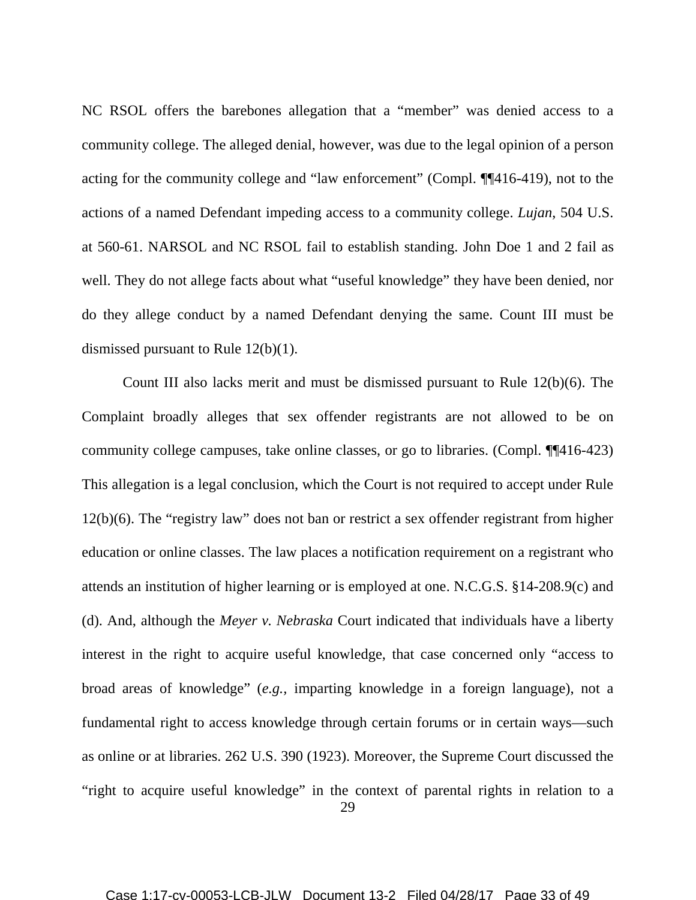NC RSOL offers the barebones allegation that a "member" was denied access to a community college. The alleged denial, however, was due to the legal opinion of a person acting for the community college and "law enforcement" (Compl. ¶¶416-419), not to the actions of a named Defendant impeding access to a community college. *Lujan*, 504 U.S. at 560-61. NARSOL and NC RSOL fail to establish standing. John Doe 1 and 2 fail as well. They do not allege facts about what "useful knowledge" they have been denied, nor do they allege conduct by a named Defendant denying the same. Count III must be dismissed pursuant to Rule 12(b)(1).

29 Count III also lacks merit and must be dismissed pursuant to Rule 12(b)(6). The Complaint broadly alleges that sex offender registrants are not allowed to be on community college campuses, take online classes, or go to libraries. (Compl. ¶¶416-423) This allegation is a legal conclusion, which the Court is not required to accept under Rule 12(b)(6). The "registry law" does not ban or restrict a sex offender registrant from higher education or online classes. The law places a notification requirement on a registrant who attends an institution of higher learning or is employed at one. N.C.G.S. §14-208.9(c) and (d). And, although the *Meyer v. Nebraska* Court indicated that individuals have a liberty interest in the right to acquire useful knowledge, that case concerned only "access to broad areas of knowledge" (*e.g.,* imparting knowledge in a foreign language), not a fundamental right to access knowledge through certain forums or in certain ways—such as online or at libraries. 262 U.S. 390 (1923). Moreover, the Supreme Court discussed the "right to acquire useful knowledge" in the context of parental rights in relation to a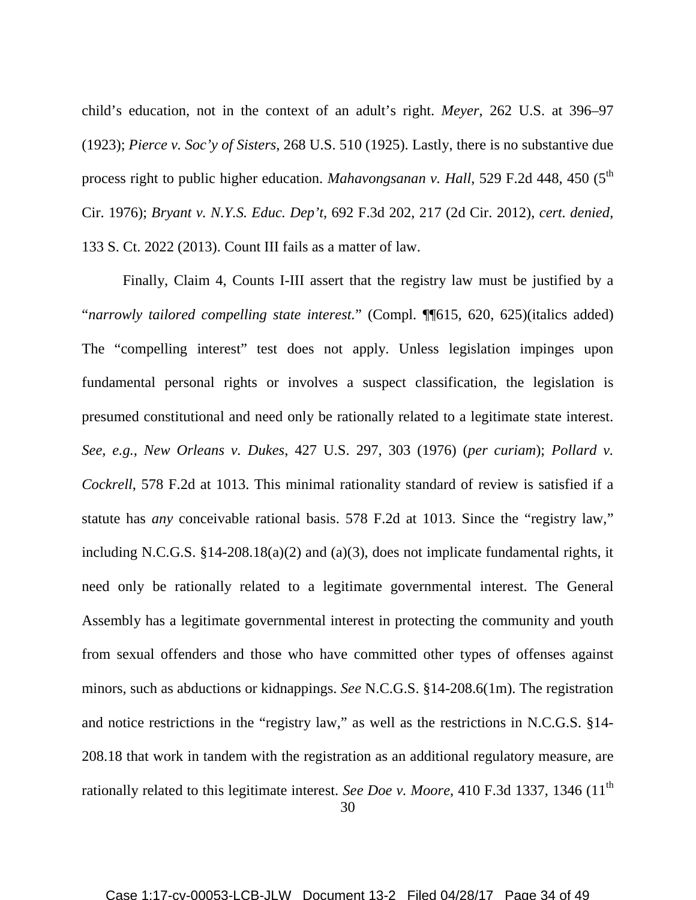child's education, not in the context of an adult's right. *Meyer*, 262 U.S. at 396–97 (1923); *Pierce v. Soc'y of Sisters*, 268 U.S. 510 (1925). Lastly, there is no substantive due process right to public higher education. *Mahavongsanan v. Hall*, 529 F.2d 448, 450 (5<sup>th</sup>) Cir. 1976); *Bryant v. N.Y.S. Educ. Dep't*, 692 F.3d 202, 217 (2d Cir. 2012), *cert. denied*, 133 S. Ct. 2022 (2013). Count III fails as a matter of law.

30 Finally, Claim 4, Counts I-III assert that the registry law must be justified by a "*narrowly tailored compelling state interest.*" (Compl. ¶¶615, 620, 625)(italics added) The "compelling interest" test does not apply. Unless legislation impinges upon fundamental personal rights or involves a suspect classification, the legislation is presumed constitutional and need only be rationally related to a legitimate state interest. *See, e.g., New Orleans v. Dukes*, 427 U.S. 297, 303 (1976) (*per curiam*); *Pollard v. Cockrell*, 578 F.2d at 1013. This minimal rationality standard of review is satisfied if a statute has *any* conceivable rational basis. 578 F.2d at 1013. Since the "registry law," including N.C.G.S. §14-208.18(a)(2) and (a)(3), does not implicate fundamental rights, it need only be rationally related to a legitimate governmental interest. The General Assembly has a legitimate governmental interest in protecting the community and youth from sexual offenders and those who have committed other types of offenses against minors, such as abductions or kidnappings. *See* N.C.G.S. §14-208.6(1m). The registration and notice restrictions in the "registry law," as well as the restrictions in N.C.G.S. §14- 208.18 that work in tandem with the registration as an additional regulatory measure, are rationally related to this legitimate interest. *See Doe v. Moore*, 410 F.3d 1337, 1346 (11<sup>th</sup>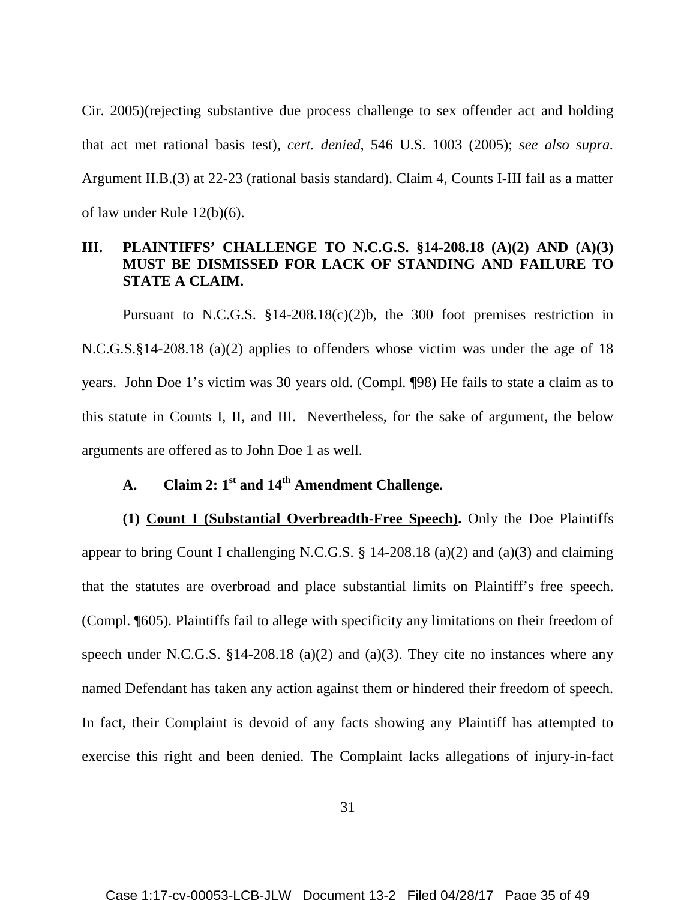Cir. 2005)(rejecting substantive due process challenge to sex offender act and holding that act met rational basis test), *cert. denied*, 546 U.S. 1003 (2005); *see also supra.* Argument II.B.(3) at 22-23 (rational basis standard). Claim 4, Counts I-III fail as a matter of law under Rule 12(b)(6).

# **III. PLAINTIFFS' CHALLENGE TO N.C.G.S. §14-208.18 (A)(2) AND (A)(3) MUST BE DISMISSED FOR LACK OF STANDING AND FAILURE TO STATE A CLAIM.**

Pursuant to N.C.G.S. §14-208.18(c)(2)b, the 300 foot premises restriction in N.C.G.S.§14-208.18 (a)(2) applies to offenders whose victim was under the age of 18 years. John Doe 1's victim was 30 years old. (Compl. ¶98) He fails to state a claim as to this statute in Counts I, II, and III. Nevertheless, for the sake of argument, the below arguments are offered as to John Doe 1 as well.

# **A. Claim 2: 1st and 14th Amendment Challenge.**

**(1) Count I (Substantial Overbreadth-Free Speech).** Only the Doe Plaintiffs appear to bring Count I challenging N.C.G.S. § 14-208.18 (a)(2) and (a)(3) and claiming that the statutes are overbroad and place substantial limits on Plaintiff's free speech. (Compl. ¶605). Plaintiffs fail to allege with specificity any limitations on their freedom of speech under N.C.G.S.  $$14-208.18$  (a)(2) and (a)(3). They cite no instances where any named Defendant has taken any action against them or hindered their freedom of speech. In fact, their Complaint is devoid of any facts showing any Plaintiff has attempted to exercise this right and been denied. The Complaint lacks allegations of injury-in-fact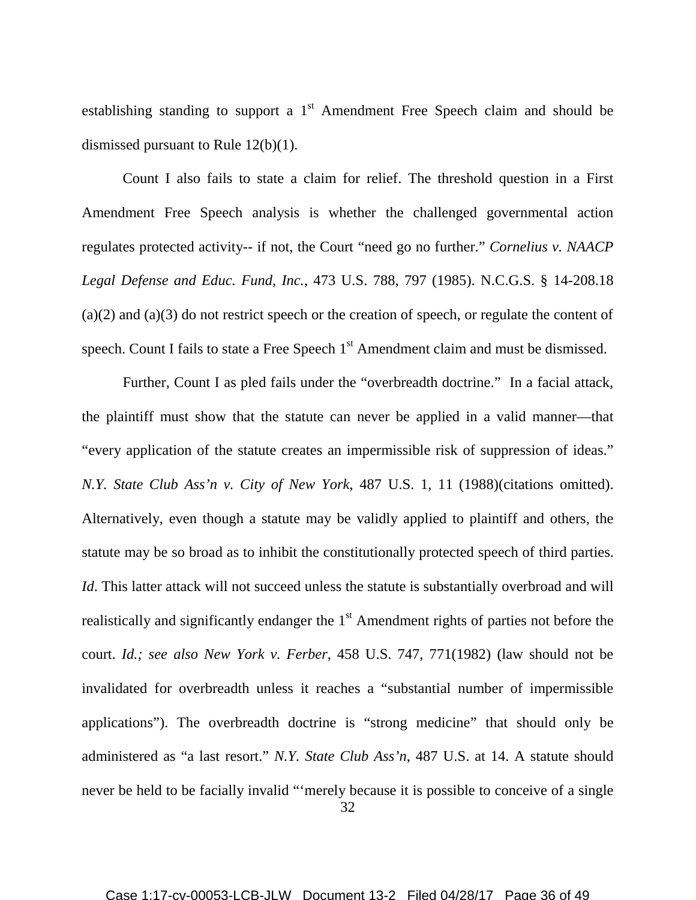establishing standing to support a  $1<sup>st</sup>$  Amendment Free Speech claim and should be dismissed pursuant to Rule 12(b)(1).

Count I also fails to state a claim for relief. The threshold question in a First Amendment Free Speech analysis is whether the challenged governmental action regulates protected activity-- if not, the Court "need go no further." *Cornelius v. NAACP Legal Defense and Educ. Fund, Inc.*, 473 U.S. 788, 797 (1985). N.C.G.S. § 14-208.18 (a)(2) and (a)(3) do not restrict speech or the creation of speech, or regulate the content of speech. Count I fails to state a Free Speech 1<sup>st</sup> Amendment claim and must be dismissed.

32 Further, Count I as pled fails under the "overbreadth doctrine." In a facial attack, the plaintiff must show that the statute can never be applied in a valid manner—that "every application of the statute creates an impermissible risk of suppression of ideas." *N.Y. State Club Ass'n v. City of New York*, 487 U.S. 1, 11 (1988)(citations omitted). Alternatively, even though a statute may be validly applied to plaintiff and others, the statute may be so broad as to inhibit the constitutionally protected speech of third parties. *Id*. This latter attack will not succeed unless the statute is substantially overbroad and will realistically and significantly endanger the  $1<sup>st</sup>$  Amendment rights of parties not before the court. *Id.; see also New York v. Ferber*, 458 U.S. 747, 771(1982) (law should not be invalidated for overbreadth unless it reaches a "substantial number of impermissible applications"). The overbreadth doctrine is "strong medicine" that should only be administered as "a last resort." *N.Y. State Club Ass'n*, 487 U.S. at 14. A statute should never be held to be facially invalid "'merely because it is possible to conceive of a single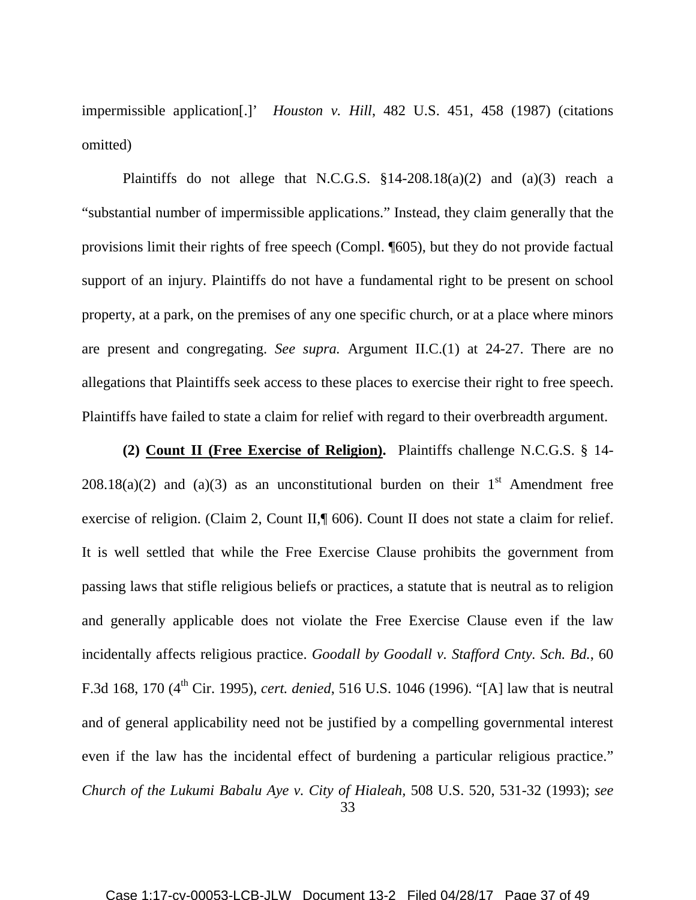impermissible application[.]' *Houston v. Hill*, 482 U.S. 451, 458 (1987) (citations omitted)

Plaintiffs do not allege that N.C.G.S.  $\S 14-208.18(a)(2)$  and  $(a)(3)$  reach a "substantial number of impermissible applications." Instead, they claim generally that the provisions limit their rights of free speech (Compl. ¶605), but they do not provide factual support of an injury. Plaintiffs do not have a fundamental right to be present on school property, at a park, on the premises of any one specific church, or at a place where minors are present and congregating. *See supra.* Argument II.C.(1) at 24-27. There are no allegations that Plaintiffs seek access to these places to exercise their right to free speech. Plaintiffs have failed to state a claim for relief with regard to their overbreadth argument.

33 **(2) Count II (Free Exercise of Religion).** Plaintiffs challenge N.C.G.S. § 14- 208.18(a)(2) and (a)(3) as an unconstitutional burden on their  $1<sup>st</sup>$  Amendment free exercise of religion. (Claim 2, Count II,¶ 606). Count II does not state a claim for relief. It is well settled that while the Free Exercise Clause prohibits the government from passing laws that stifle religious beliefs or practices, a statute that is neutral as to religion and generally applicable does not violate the Free Exercise Clause even if the law incidentally affects religious practice. *Goodall by Goodall v. Stafford Cnty. Sch. Bd.*, 60 F.3d 168, 170 (4th Cir. 1995), *cert. denied*, 516 U.S. 1046 (1996). "[A] law that is neutral and of general applicability need not be justified by a compelling governmental interest even if the law has the incidental effect of burdening a particular religious practice." *Church of the Lukumi Babalu Aye v. City of Hialeah,* 508 U.S. 520, 531-32 (1993); *see*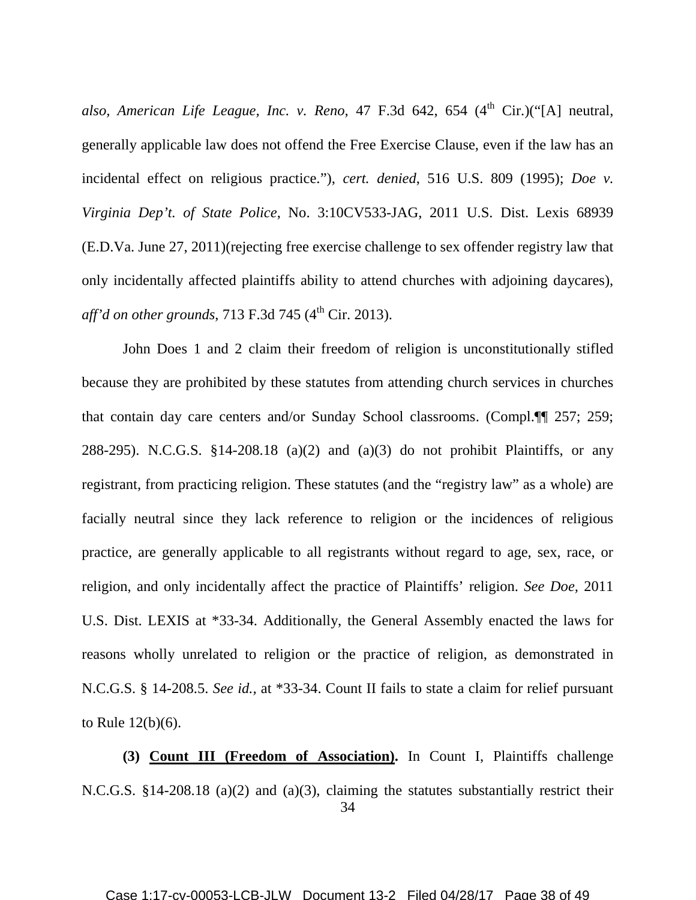also, American Life League, Inc. v. Reno, 47 F.3d 642, 654 (4<sup>th</sup> Cir.)("[A] neutral, generally applicable law does not offend the Free Exercise Clause, even if the law has an incidental effect on religious practice."), *cert. denied*, 516 U.S. 809 (1995); *Doe v. Virginia Dep't. of State Police*, No. 3:10CV533-JAG, 2011 U.S. Dist. Lexis 68939 (E.D.Va. June 27, 2011)(rejecting free exercise challenge to sex offender registry law that only incidentally affected plaintiffs ability to attend churches with adjoining daycares), *aff'd on other grounds*, 713 F.3d 745 (4<sup>th</sup> Cir. 2013).

John Does 1 and 2 claim their freedom of religion is unconstitutionally stifled because they are prohibited by these statutes from attending church services in churches that contain day care centers and/or Sunday School classrooms. (Compl.¶¶ 257; 259; 288-295). N.C.G.S. §14-208.18 (a)(2) and (a)(3) do not prohibit Plaintiffs, or any registrant, from practicing religion. These statutes (and the "registry law" as a whole) are facially neutral since they lack reference to religion or the incidences of religious practice, are generally applicable to all registrants without regard to age, sex, race, or religion, and only incidentally affect the practice of Plaintiffs' religion. *See Doe,* 2011 U.S. Dist. LEXIS at \*33-34. Additionally, the General Assembly enacted the laws for reasons wholly unrelated to religion or the practice of religion, as demonstrated in N.C.G.S. § 14-208.5. *See id.,* at \*33-34. Count II fails to state a claim for relief pursuant to Rule 12(b)(6).

34 **(3) Count III (Freedom of Association).** In Count I, Plaintiffs challenge N.C.G.S. §14-208.18 (a)(2) and (a)(3), claiming the statutes substantially restrict their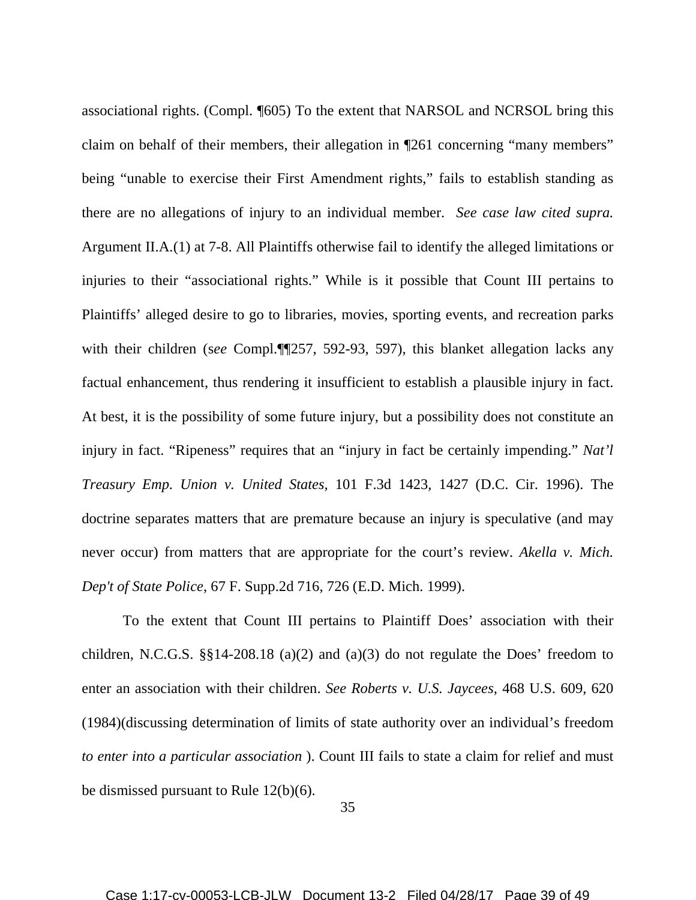associational rights. (Compl. ¶605) To the extent that NARSOL and NCRSOL bring this claim on behalf of their members, their allegation in ¶261 concerning "many members" being "unable to exercise their First Amendment rights," fails to establish standing as there are no allegations of injury to an individual member. *See case law cited supra.*  Argument II.A.(1) at 7-8. All Plaintiffs otherwise fail to identify the alleged limitations or injuries to their "associational rights." While is it possible that Count III pertains to Plaintiffs' alleged desire to go to libraries, movies, sporting events, and recreation parks with their children (s*ee* Compl.¶¶257, 592-93, 597), this blanket allegation lacks any factual enhancement, thus rendering it insufficient to establish a plausible injury in fact. At best, it is the possibility of some future injury, but a possibility does not constitute an injury in fact. "Ripeness" requires that an "injury in fact be certainly impending." *Nat'l Treasury Emp. Union v. United States,* 101 F.3d 1423, 1427 (D.C. Cir. 1996). The doctrine separates matters that are premature because an injury is speculative (and may never occur) from matters that are appropriate for the court's review. *Akella v. Mich. Dep't of State Police*, 67 F. Supp.2d 716, 726 (E.D. Mich. 1999).

To the extent that Count III pertains to Plaintiff Does' association with their children, N.C.G.S. §§14-208.18 (a)(2) and (a)(3) do not regulate the Does' freedom to enter an association with their children. *See Roberts v. U.S. Jaycees*, 468 U.S. 609, 620 (1984)(discussing determination of limits of state authority over an individual's freedom *to enter into a particular association* ). Count III fails to state a claim for relief and must be dismissed pursuant to Rule 12(b)(6).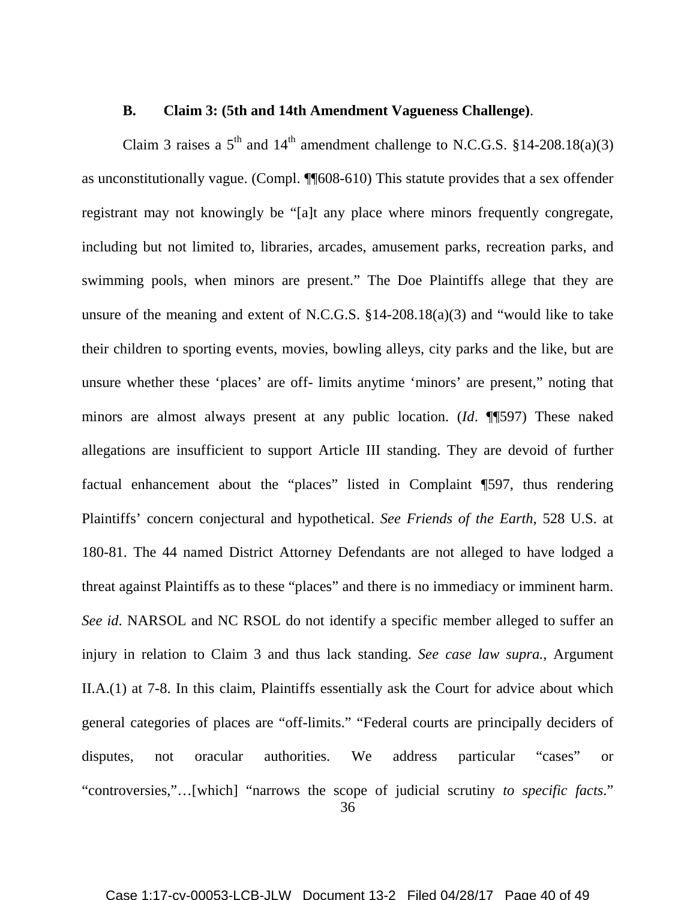#### **B. Claim 3: (5th and 14th Amendment Vagueness Challenge)**.

Claim 3 raises a  $5<sup>th</sup>$  and  $14<sup>th</sup>$  amendment challenge to N.C.G.S. §14-208.18(a)(3) as unconstitutionally vague. (Compl. ¶¶608-610) This statute provides that a sex offender registrant may not knowingly be "[a]t any place where minors frequently congregate, including but not limited to, libraries, arcades, amusement parks, recreation parks, and swimming pools, when minors are present." The Doe Plaintiffs allege that they are unsure of the meaning and extent of N.C.G.S. §14-208.18(a)(3) and "would like to take their children to sporting events, movies, bowling alleys, city parks and the like, but are unsure whether these 'places' are off- limits anytime 'minors' are present," noting that minors are almost always present at any public location. (*Id*. ¶¶597) These naked allegations are insufficient to support Article III standing. They are devoid of further factual enhancement about the "places" listed in Complaint ¶597, thus rendering Plaintiffs' concern conjectural and hypothetical. *See Friends of the Earth*, 528 U.S. at 180-81. The 44 named District Attorney Defendants are not alleged to have lodged a threat against Plaintiffs as to these "places" and there is no immediacy or imminent harm. *See id*. NARSOL and NC RSOL do not identify a specific member alleged to suffer an injury in relation to Claim 3 and thus lack standing. *See case law supra.,* Argument II.A.(1) at 7-8. In this claim, Plaintiffs essentially ask the Court for advice about which general categories of places are "off-limits." "Federal courts are principally deciders of disputes, not oracular authorities. We address particular "cases" or "controversies,"…[which] "narrows the scope of judicial scrutiny *to specific facts*."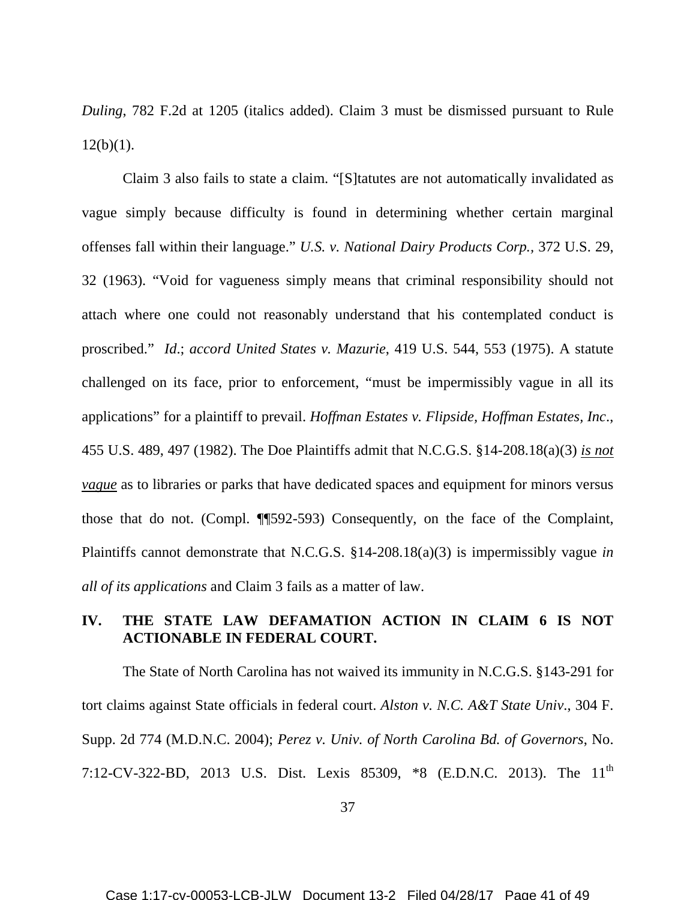*Duling*, 782 F.2d at 1205 (italics added). Claim 3 must be dismissed pursuant to Rule  $12(b)(1)$ .

Claim 3 also fails to state a claim. "[S]tatutes are not automatically invalidated as vague simply because difficulty is found in determining whether certain marginal offenses fall within their language." *U.S. v. National Dairy Products Corp.,* 372 U.S. 29, 32 (1963). "Void for vagueness simply means that criminal responsibility should not attach where one could not reasonably understand that his contemplated conduct is proscribed." *Id*.; *accord United States v. Mazurie*, 419 U.S. 544, 553 (1975). A statute challenged on its face, prior to enforcement, "must be impermissibly vague in all its applications" for a plaintiff to prevail. *Hoffman Estates v. Flipside, Hoffman Estates, Inc*., 455 U.S. 489, 497 (1982). The Doe Plaintiffs admit that N.C.G.S. §14-208.18(a)(3) *is not vague* as to libraries or parks that have dedicated spaces and equipment for minors versus those that do not. (Compl. ¶¶592-593) Consequently, on the face of the Complaint, Plaintiffs cannot demonstrate that N.C.G.S. §14-208.18(a)(3) is impermissibly vague *in all of its applications* and Claim 3 fails as a matter of law.

# **IV. THE STATE LAW DEFAMATION ACTION IN CLAIM 6 IS NOT ACTIONABLE IN FEDERAL COURT.**

The State of North Carolina has not waived its immunity in N.C.G.S. §143-291 for tort claims against State officials in federal court. *Alston v. N.C. A&T State Univ*., 304 F. Supp. 2d 774 (M.D.N.C. 2004); *Perez v. Univ. of North Carolina Bd. of Governors*, No. 7:12-CV-322-BD, 2013 U.S. Dist. Lexis 85309, \*8 (E.D.N.C. 2013). The 11<sup>th</sup>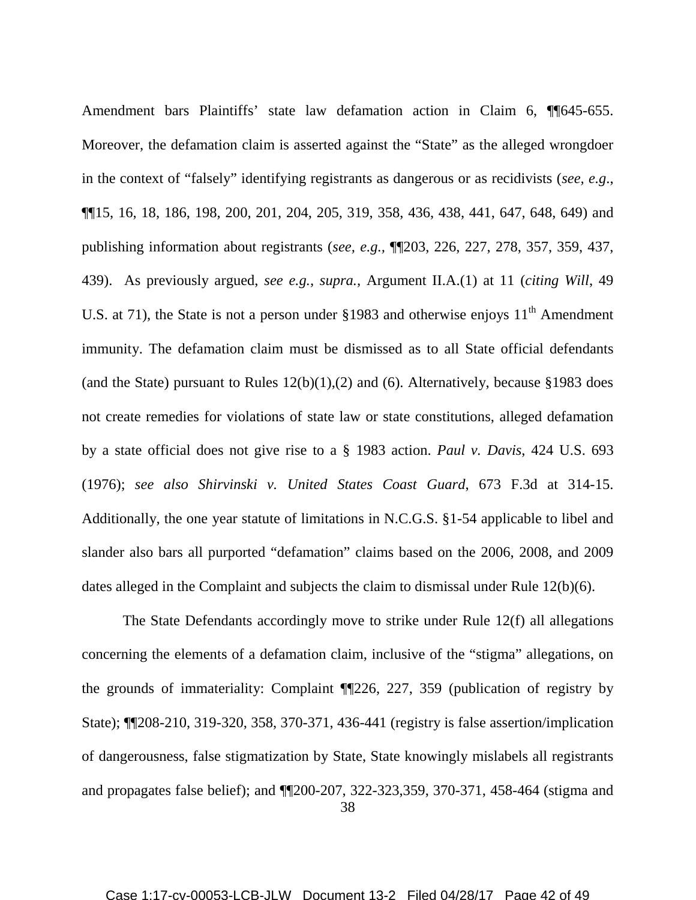Amendment bars Plaintiffs' state law defamation action in Claim 6, ¶¶645-655. Moreover, the defamation claim is asserted against the "State" as the alleged wrongdoer in the context of "falsely" identifying registrants as dangerous or as recidivists (*see, e.g*., ¶¶15, 16, 18, 186, 198, 200, 201, 204, 205, 319, 358, 436, 438, 441, 647, 648, 649) and publishing information about registrants (*see, e.g.,* ¶¶203, 226, 227, 278, 357, 359, 437, 439). As previously argued, *see e.g., supra.,* Argument II.A.(1) at 11 (*citing Will*, 49 U.S. at 71), the State is not a person under  $§1983$  and otherwise enjoys  $11<sup>th</sup>$  Amendment immunity. The defamation claim must be dismissed as to all State official defendants (and the State) pursuant to Rules  $12(b)(1),(2)$  and (6). Alternatively, because §1983 does not create remedies for violations of state law or state constitutions, alleged defamation by a state official does not give rise to a § 1983 action. *Paul v. Davis*, 424 U.S. 693 (1976); *see also Shirvinski v. United States Coast Guard*, 673 F.3d at 314-15. Additionally, the one year statute of limitations in N.C.G.S. §1-54 applicable to libel and slander also bars all purported "defamation" claims based on the 2006, 2008, and 2009 dates alleged in the Complaint and subjects the claim to dismissal under Rule 12(b)(6).

38 The State Defendants accordingly move to strike under Rule 12(f) all allegations concerning the elements of a defamation claim, inclusive of the "stigma" allegations, on the grounds of immateriality: Complaint ¶¶226, 227, 359 (publication of registry by State); ¶¶208-210, 319-320, 358, 370-371, 436-441 (registry is false assertion/implication of dangerousness, false stigmatization by State, State knowingly mislabels all registrants and propagates false belief); and ¶¶200-207, 322-323,359, 370-371, 458-464 (stigma and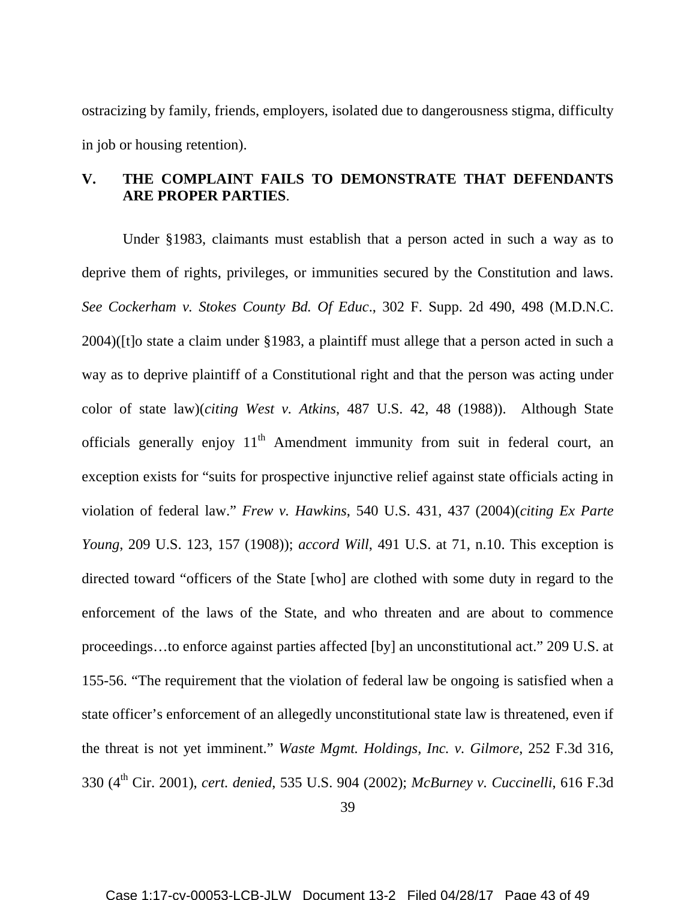ostracizing by family, friends, employers, isolated due to dangerousness stigma, difficulty in job or housing retention).

# **V. THE COMPLAINT FAILS TO DEMONSTRATE THAT DEFENDANTS ARE PROPER PARTIES**.

Under §1983, claimants must establish that a person acted in such a way as to deprive them of rights, privileges, or immunities secured by the Constitution and laws. *See Cockerham v. Stokes County Bd. Of Educ*., 302 F. Supp. 2d 490, 498 (M.D.N.C. 2004)([t]o state a claim under §1983, a plaintiff must allege that a person acted in such a way as to deprive plaintiff of a Constitutional right and that the person was acting under color of state law)(*citing West v. Atkins*, 487 U.S. 42, 48 (1988)). Although State officials generally enjoy  $11<sup>th</sup>$  Amendment immunity from suit in federal court, an exception exists for "suits for prospective injunctive relief against state officials acting in violation of federal law." *Frew v. Hawkins*, 540 U.S. 431, 437 (2004)(*citing Ex Parte Young*, 209 U.S. 123, 157 (1908)); *accord Will*, 491 U.S. at 71, n.10. This exception is directed toward "officers of the State [who] are clothed with some duty in regard to the enforcement of the laws of the State, and who threaten and are about to commence proceedings…to enforce against parties affected [by] an unconstitutional act." 209 U.S. at 155-56. "The requirement that the violation of federal law be ongoing is satisfied when a state officer's enforcement of an allegedly unconstitutional state law is threatened, even if the threat is not yet imminent." *Waste Mgmt. Holdings, Inc. v. Gilmore*, 252 F.3d 316, 330 (4th Cir. 2001), *cert. denied*, 535 U.S. 904 (2002); *McBurney v. Cuccinelli*, 616 F.3d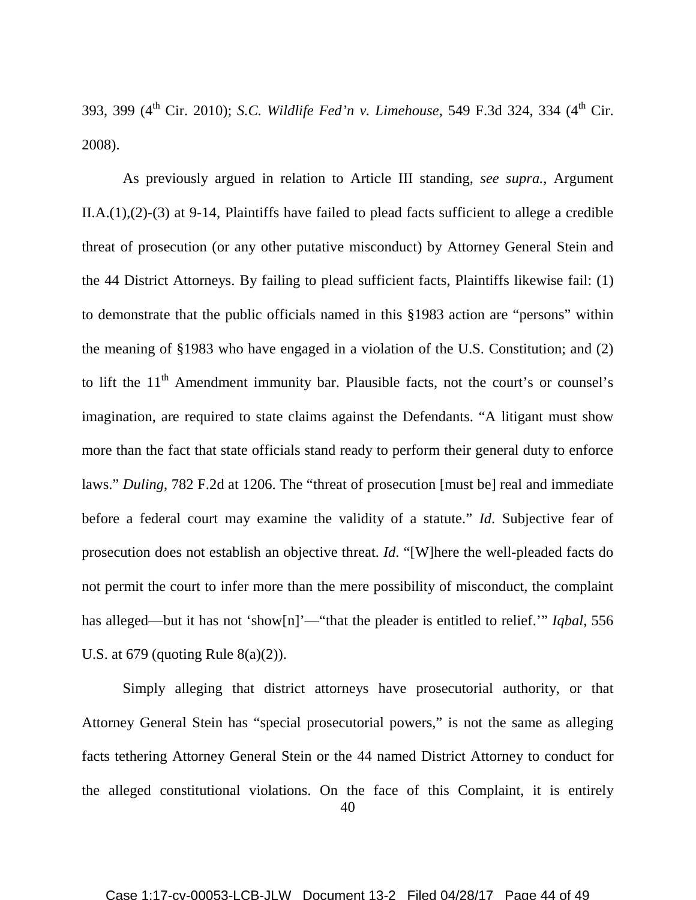393, 399 (4<sup>th</sup> Cir. 2010); *S.C. Wildlife Fed'n v. Limehouse*, 549 F.3d 324, 334 (4<sup>th</sup> Cir. 2008).

As previously argued in relation to Article III standing, *see supra.,* Argument II.A.(1),(2)-(3) at 9-14, Plaintiffs have failed to plead facts sufficient to allege a credible threat of prosecution (or any other putative misconduct) by Attorney General Stein and the 44 District Attorneys. By failing to plead sufficient facts, Plaintiffs likewise fail: (1) to demonstrate that the public officials named in this §1983 action are "persons" within the meaning of §1983 who have engaged in a violation of the U.S. Constitution; and (2) to lift the  $11<sup>th</sup>$  Amendment immunity bar. Plausible facts, not the court's or counsel's imagination, are required to state claims against the Defendants. "A litigant must show more than the fact that state officials stand ready to perform their general duty to enforce laws." *Duling*, 782 F.2d at 1206. The "threat of prosecution [must be] real and immediate before a federal court may examine the validity of a statute." *Id*. Subjective fear of prosecution does not establish an objective threat. *Id*. "[W]here the well-pleaded facts do not permit the court to infer more than the mere possibility of misconduct, the complaint has alleged—but it has not 'show[n]'—"that the pleader is entitled to relief.'" *Iqbal*, 556 U.S. at  $679$  (quoting Rule  $8(a)(2)$ ).

Simply alleging that district attorneys have prosecutorial authority, or that Attorney General Stein has "special prosecutorial powers," is not the same as alleging facts tethering Attorney General Stein or the 44 named District Attorney to conduct for the alleged constitutional violations. On the face of this Complaint, it is entirely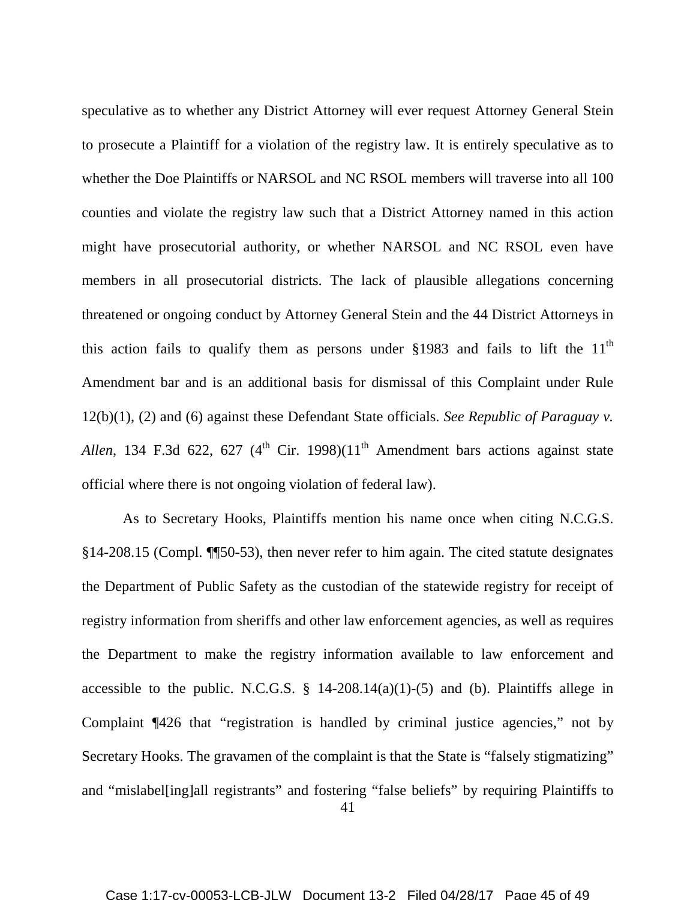speculative as to whether any District Attorney will ever request Attorney General Stein to prosecute a Plaintiff for a violation of the registry law. It is entirely speculative as to whether the Doe Plaintiffs or NARSOL and NC RSOL members will traverse into all 100 counties and violate the registry law such that a District Attorney named in this action might have prosecutorial authority, or whether NARSOL and NC RSOL even have members in all prosecutorial districts. The lack of plausible allegations concerning threatened or ongoing conduct by Attorney General Stein and the 44 District Attorneys in this action fails to qualify them as persons under  $§1983$  and fails to lift the 11<sup>th</sup> Amendment bar and is an additional basis for dismissal of this Complaint under Rule 12(b)(1), (2) and (6) against these Defendant State officials. *See Republic of Paraguay v. Allen*, 134 F.3d 622, 627 (4<sup>th</sup> Cir. 1998)(11<sup>th</sup> Amendment bars actions against state official where there is not ongoing violation of federal law).

As to Secretary Hooks, Plaintiffs mention his name once when citing N.C.G.S. §14-208.15 (Compl. ¶¶50-53), then never refer to him again. The cited statute designates the Department of Public Safety as the custodian of the statewide registry for receipt of registry information from sheriffs and other law enforcement agencies, as well as requires the Department to make the registry information available to law enforcement and accessible to the public. N.C.G.S.  $\S$  14-208.14(a)(1)-(5) and (b). Plaintiffs allege in Complaint ¶426 that "registration is handled by criminal justice agencies," not by Secretary Hooks. The gravamen of the complaint is that the State is "falsely stigmatizing" and "mislabel[ing]all registrants" and fostering "false beliefs" by requiring Plaintiffs to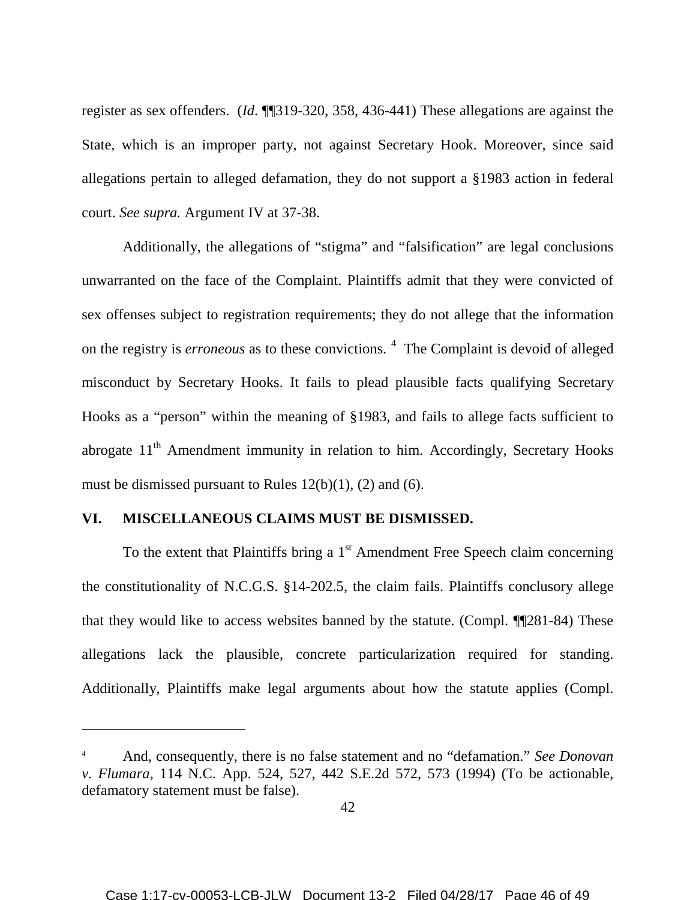register as sex offenders. (*Id*. ¶¶319-320, 358, 436-441) These allegations are against the State, which is an improper party, not against Secretary Hook. Moreover, since said allegations pertain to alleged defamation, they do not support a §1983 action in federal court. *See supra.* Argument IV at 37-38.

Additionally, the allegations of "stigma" and "falsification" are legal conclusions unwarranted on the face of the Complaint. Plaintiffs admit that they were convicted of sex offenses subject to registration requirements; they do not allege that the information on the registry is *erroneous* as to these convictions.<sup>[4](#page-45-0)</sup> The Complaint is devoid of alleged misconduct by Secretary Hooks. It fails to plead plausible facts qualifying Secretary Hooks as a "person" within the meaning of §1983, and fails to allege facts sufficient to abrogate  $11<sup>th</sup>$  Amendment immunity in relation to him. Accordingly, Secretary Hooks must be dismissed pursuant to Rules 12(b)(1), (2) and (6).

### **VI. MISCELLANEOUS CLAIMS MUST BE DISMISSED.**

 $\overline{a}$ 

To the extent that Plaintiffs bring a  $1<sup>st</sup>$  Amendment Free Speech claim concerning the constitutionality of N.C.G.S. §14-202.5, the claim fails. Plaintiffs conclusory allege that they would like to access websites banned by the statute. (Compl. ¶¶281-84) These allegations lack the plausible, concrete particularization required for standing. Additionally, Plaintiffs make legal arguments about how the statute applies (Compl.

<span id="page-45-0"></span><sup>4</sup> And, consequently, there is no false statement and no "defamation." *See Donovan v. Flumara*, 114 N.C. App. 524, 527, 442 S.E.2d 572, 573 (1994) (To be actionable, defamatory statement must be false).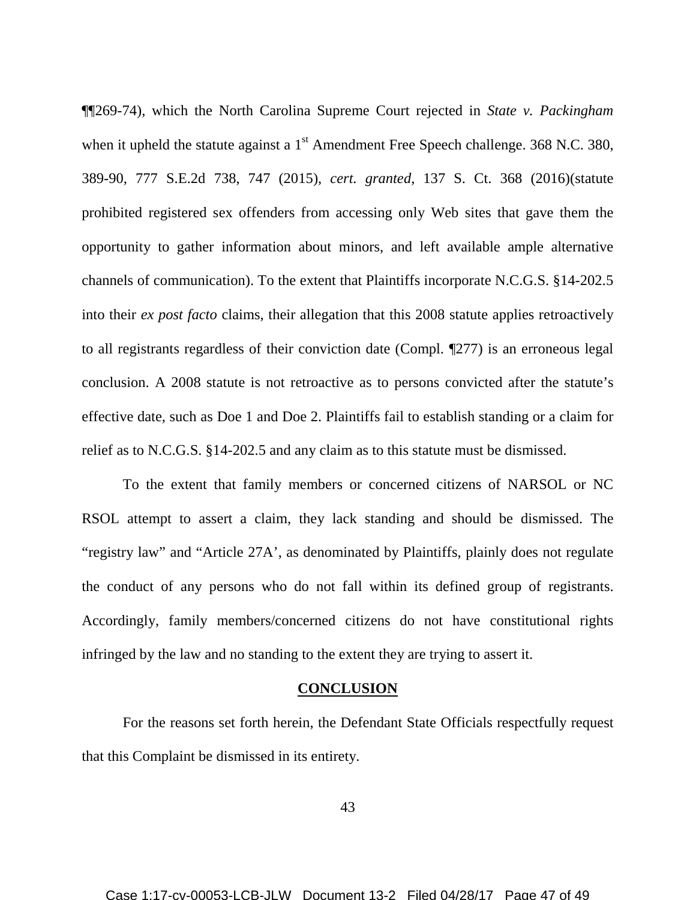¶¶269-74), which the North Carolina Supreme Court rejected in *State v. Packingham* when it upheld the statute against a  $1<sup>st</sup>$  Amendment Free Speech challenge. 368 N.C. 380, 389-90, 777 S.E.2d 738, 747 (2015), *cert. granted*, 137 S. Ct. 368 (2016)(statute prohibited registered sex offenders from accessing only Web sites that gave them the opportunity to gather information about minors, and left available ample alternative channels of communication). To the extent that Plaintiffs incorporate N.C.G.S. §14-202.5 into their *ex post facto* claims, their allegation that this 2008 statute applies retroactively to all registrants regardless of their conviction date (Compl. ¶277) is an erroneous legal conclusion. A 2008 statute is not retroactive as to persons convicted after the statute's effective date, such as Doe 1 and Doe 2. Plaintiffs fail to establish standing or a claim for relief as to N.C.G.S. §14-202.5 and any claim as to this statute must be dismissed.

To the extent that family members or concerned citizens of NARSOL or NC RSOL attempt to assert a claim, they lack standing and should be dismissed. The "registry law" and "Article 27A', as denominated by Plaintiffs, plainly does not regulate the conduct of any persons who do not fall within its defined group of registrants. Accordingly, family members/concerned citizens do not have constitutional rights infringed by the law and no standing to the extent they are trying to assert it.

#### **CONCLUSION**

For the reasons set forth herein, the Defendant State Officials respectfully request that this Complaint be dismissed in its entirety.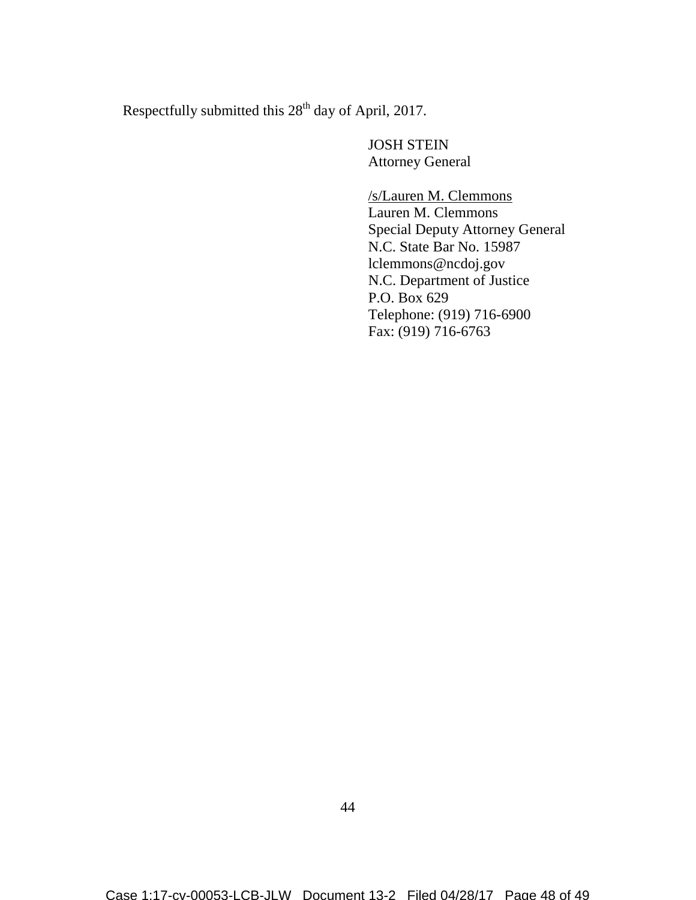Respectfully submitted this 28<sup>th</sup> day of April, 2017.

JOSH STEIN Attorney General

# /s/Lauren M. Clemmons

Lauren M. Clemmons Special Deputy Attorney General N.C. State Bar No. 15987 lclemmons@ncdoj.gov N.C. Department of Justice P.O. Box 629 Telephone: (919) 716-6900 Fax: (919) 716-6763